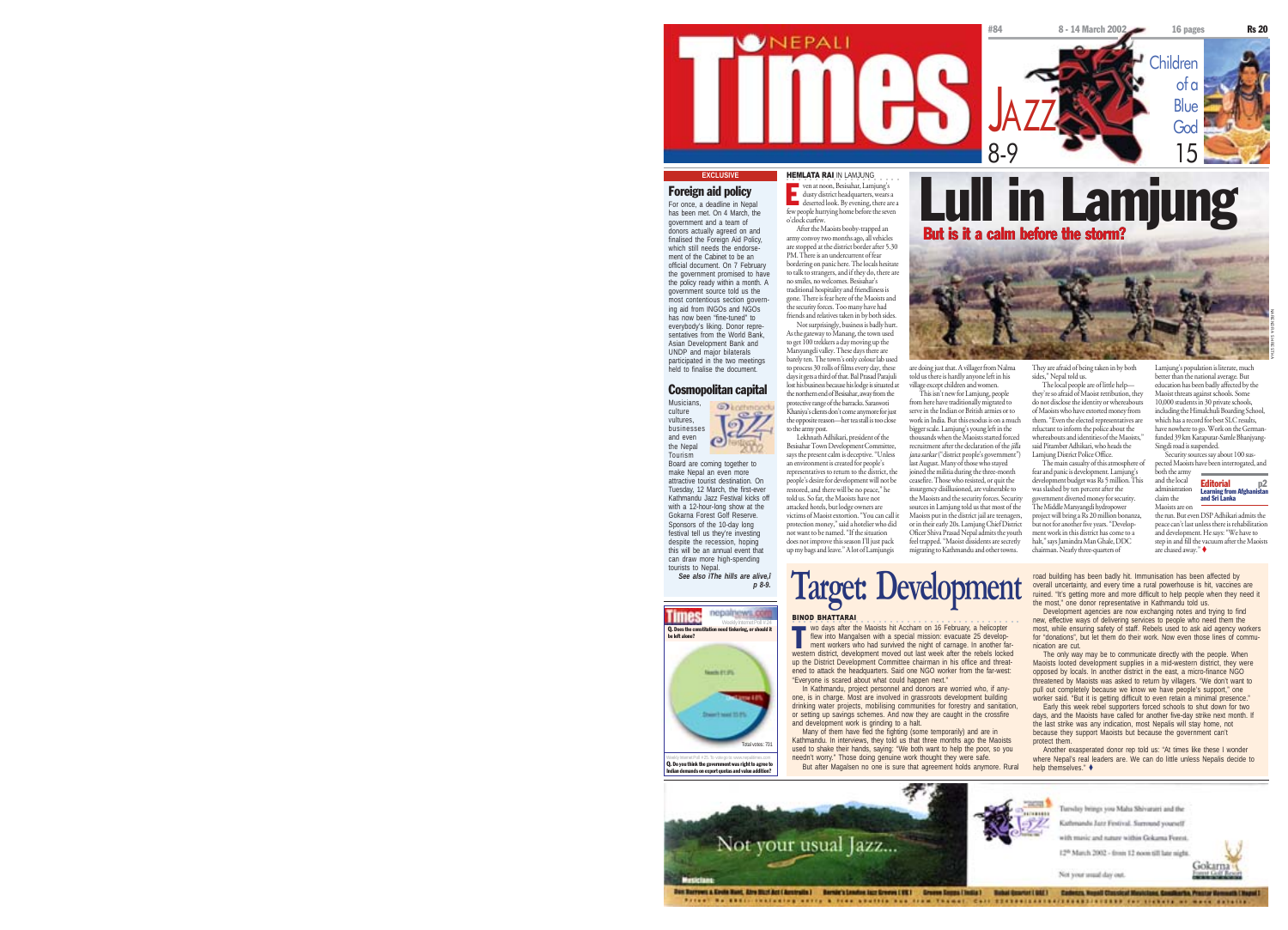

## Foreign aid policy

dusty district headquarters, wears a deserted look. By evening, there are a few people hurrying home before the seven <sup>o</sup>'clock curfew. After the Maoists booby-trapped an army convoy two months ago, all vehicles are stopped at the district border after 5.30 PM. There is an undercurrent of fear bordering on panic here. The locals hesitate

to talk to strangers, and if they do, there are no smiles, no welcomes. Besisahar's traditional hospitality and friendliness is gone. There is fear here of the Maoists and the security forces. Too many have had friends and relatives taken in by both sides.

Besisahar Town Development Committee, says the present calm is deceptive. "Unless

restored, and there will be no peace," he

Not surprisingly, business is badly hurt. As the gateway to Manang, the town used to get 100 trekkers a day moving up the Marsyangdi valley. These days there are barely ten. The town's only colour lab used to process 30 rolls of films every day, these days it gets a third of that. Bal Prasad Parajuli lost his business because his lodge is situated at

the northern end of Besisahar, away from the protective range of the barracks. Saraswoti  $\odot$ Khaniya's clients don't come anymore for just the opposite reason—her tea stall is too close to the army post. Lekhnath Adhikari, president of the

 $\omega$ an environment is created for people's representatives to return to the district, the people's desire for development will not be Tuesday, 12 March, the first-eve told us. So far, the Maoists have not attacked hotels, but lodge owners are victims of Maoist extortion. "You can call it protection money," said a hotelier who did not want to be named. "If the situation does not improve this season I'll just pack up my bags and leave." A lot of Lamjungis

*p 8-9.*



Indian demands on export quotas and value addition?



are doing just that. A villager from Nalma told us there is hardly anyone left in his village except children and women. They are afraid of being taken in by both sides," Nepal told us.

This isn't new for Lamjung, people from here have traditionally migrated to serve in the Indian or British armies or to

bigger scale. Lamjung's young left in the

last August. Many of those who stayed joined the militia during the three-month ceasefire. Those who resisted, or quit the insurgency disillusioned, are vulnerable to

migrating to Kathmandu and other towns.

work in India. But this exodus is on a much thousands when the Maoists started forced recruitment after the declaration of the jilla jana sarkar ("district people's government") The local people are of little help they're so afraid of Maoist retribution, they do not disclose the identity or whereabouts of Maoists who have extorted money from them. "Even the elected representatives are reluctant to inform the police about the whereabouts and identities of the Maoists, said Pitamber Adhikari, who heads the Lamjung District Police Office.

the Maoists and the security forces. Security sources in Lamjung told us that most of the Maoists put in the district jail are teenagers, or in their early 20s. Lamjung Chief District Oficer Shiva Prasad Nepal admits the youth feel trapped. "Maoist dissidents are secretly The main casualty of this atmosphere of fear and panic is development. Lamjung's development budget was Rs 5 million. This was slashed by ten percent after the government diverted money for security. The Middle Marsyangdi hydropower project will bring a Rs 20 million bonanza, but not for another five years. "Development work in this district has come to a halt," says Jamindra Man Ghale, DDC chairman. Nearly three-quarters of

Lamjung's population is literate, much better than the national average. But education has been badly affected by the Maoist threats against schools. Some 10,000 students in 30 private schools, including the Himalchuli Boarding School, which has a record for hest SLC results. have nowhere to go. Work on the German funded 39 km Karaputar-Samle BhanjyangNARENDRA SHRESTHA



the run. But even DSP Adhikari admits the peace can't last unless there is rehabilitation and development. He says: "We have to step in and fill the vacuum after the Maoists are chased away."

 $\text{Targer: Development: }\n\text{Iever:}\n\text{Iever:}\n\text{Iever:}\n\text{Ider:}\n\text{Ider:}\n\text{Ider:}\n\text{Ider:}\n\text{Ider:}\n\text{Ider:}\n\text{Ider:}\n\text{Ider:}\n\text{Ider:}\n\text{Ider:}\n\text{Ider:}\n\text{Ider:}\n\text{Ider:}\n\text{Ider:}\n\text{Ider:}\n\text{Ider:}\n\text{Ider:}\n\text{Ider:}\n\text{Ider:}\n\text{Ider:}\n\text{Ider:}\n\text{Ider:}\n\text{Ider:}\n\text{$ 

Maoists are on

Maoists looted development supplies in a mid-western district, they were opposed by locals. In another district in the east, a micro-finance NGO threatened by Maoists was asked to return by villagers. "We don't want to pull out completely because we know we have people's support," one worker said. "But it is getting difficult to even retain a minimal presence." Early this week rebel supporters forced schools to shut down for two

days, and the Maoists have called for another five-day strike next month. If the last strike was any indication, most Nepalis will stay home, not because they support Maoists but because the government can't protect them.

where Nepal's real leaders are. We can do little unless Nepalis decide to help themselves."  $\triangle$ 



From the bookstates area a five abouts an era teams, the secondary constitution of them as well sales

For once, a deadline in Nepal has been met. On 4 March, the government and a team of donors actually agreed on and finalised the Foreign Aid Policy which still needs the endorse ment of the Cabinet to be an official document. On 7 February the government promised to have the policy ready within a month. A government source told us the most contentious section govern-ing aid from INGOs and NGOs has now been "fine-tuned" to everybody's liking. Donor representatives from the World Bank, Asian Development Bank and UNDP and major bilaterals

participated in the two meetings held to finalise the document. Cosmopolitan capital Musicians,

culture vultures businesses and even the Nepal Tourism Board are coming together to make Nepal an even more attractive tourist destination. On

Kathmandu Jazz Festival kicks off with a 12-hour-long show at the Gokarna Forest Golf Reserve. Sponsors of the 10-day long festival tell us they're investing despite the recession, hoping this will be an annual event that can draw more high-spending

tourists to Nepal. *See also ìThe hills are alive,î*



Weekly Internet Poll #25. To vote go to: www.nepalitimes.com<br>**Q. Do you think the government was right to agree to** 

**The Wordays after the Maoists hit Accham on 16 February, a helicopter**<br>flew into Mangalsen with a special mission: evacuate 25 develop-<br>ment workers who had survived the night of carnage. In another farflew into Mangalsen with a special mission: evacuate 25 development workers who had survived the night of carnage. In another farwestern district, development moved out last week after the rebels locked up the District Development Committee chairman in his office and threat-

Many of them have fled the fighting (some temporarily) and are in Kathmandu. In interviews, they told us that three months ago the Maoists used to shake their hands, saying: "We both want to help the poor, so you needn't worry." Those doing genuine work thought they were safe. But after Magalsen no one is sure that agreement holds anymore. Rural

nication are cut. ened to attack the headquarters. Said one NGO worker from the far-west: "Everyone is scared about what could happen next."

In Kathmandu, project personnel and donors are worried who, if anyone, is in charge. Most are involved in grassroots development building drinking water projects, mobilising communities for forestry and sanitation, or setting up savings schemes. And now they are caught in the crossfire and development work is grinding to a halt.

new, effective ways of delivering services to people who need them the most, while ensuring safety of staff. Rebels used to ask aid agency workers for "donations", but let them do their work. Now even those lines of commu-

The only way may be to communicate directly with the people. When

Another exasperated donor rep told us: "At times like these I wonder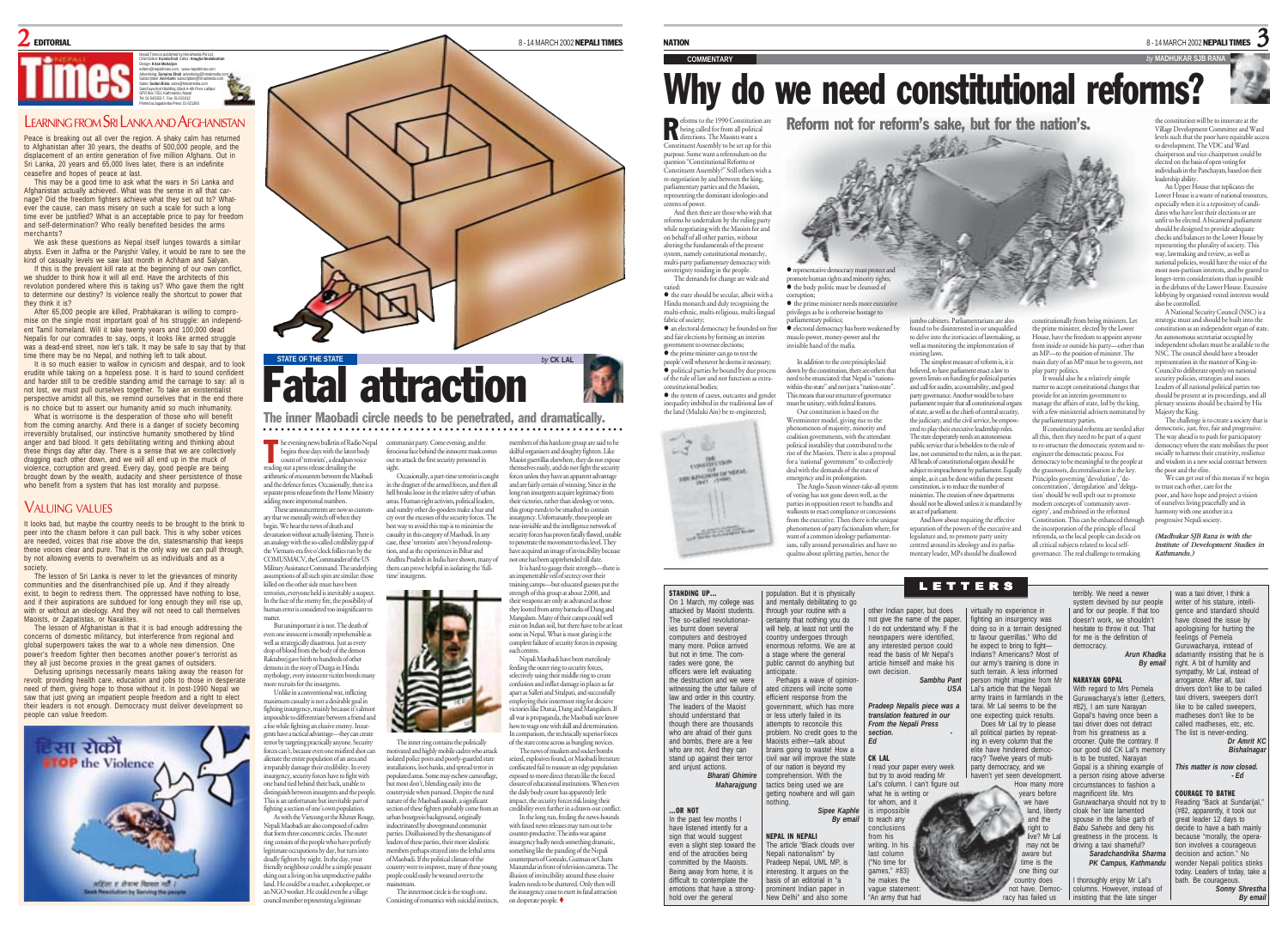

Nepali Times is published by Himalmedia Pvt Ltd, Chief Editor: **Kunda Dixit** Editor: **Anagha Neelakantan** Design: **Kiran Maharjan** editors@nepalitimes.com, www.nepalitimes.com Advertising: **Sunaina Shah** advertising@himalmedia.com Subscription: **Anil Karki** subscription@himalmedia.com Sales: **Sudan Bista** sales@himalmedia.com Sanchaya Kosh Building, Block A-4th Floor, Lalitpur GPO Box 7251, Kathmandu, Nepal Tel: 01-543333-7, Fax: 01-521013 Printed at Jagadamba Press: 01-521393

## LEARNING FROM SRI LANKA AND AFGHANISTAN

Peace is breaking out all over the region. A shaky calm has returned to Afghanistan after 30 years, the deaths of 500,000 people, and the displacement of an entire generation of five million Afghans. Out in Sri Lanka, 20 years and 65,000 lives later, there is an indefinite ceasefire and hopes of peace at last.

This may be a good time to ask what the wars in Sri Lanka and Afghanistan actually achieved. What was the sense in all that carnage? Did the freedom fighters achieve what they set out to? Whatever the cause, can mass misery on such a scale for such a long time ever be justified? What is an acceptable price to pay for freedom and self-determination? Who really benefited besides the arms merchants?

We ask these questions as Nepal itself lunges towards a similar abyss. Even in Jaffna or the Panjshir Valley, it would be rare to see the kind of casualty levels we saw last month in Achham and Salyan.

If this is the prevalent kill rate at the beginning of our own conflict, we shudder to think how it will all end. Have the architects of this revolution pondered where this is taking us? Who gave them the right to determine our destiny? Is violence really the shortcut to power that they think it is?

After 65,000 people are killed, Prabhakaran is willing to compromise on the single most important goal of his struggle: an independ-ent Tamil homeland. Will it take twenty years and 100,000 dead Nepalis for our comrades to say, oops, it looks like armed struggle was a dead-end street, now let's talk. It may be safe to say that by that time there may be no Nepal, and nothing left to talk about.

It is so much easier to wallow in cynicism and despair, and to look erudite while taking on a hopeless pose. It is hard to sound confident and harder still to be credible standing amid the carnage to say: all is not lost, we must pull ourselves together. To take an existentialist perspective amidst all this, we remind ourselves that in the end there is no choice but to assert our humanity amid so much inhumanity.

What is worrisome is the desperation of those who will benefit from the coming anarchy. And there is a danger of society becoming irreversibly brutalised, our instinctive humanity smothered by blind anger and bad blood. It gets debilitating writing and thinking about these things day after day. There is a sense that we are collectively dragging each other down, and we will all end up in the muck of violence, corruption and greed. Every day, good people are being brought down by the wealth, audacity and sheer persistence of those who benefit from a system that has lost morality and purpose.

## **VALUING VALUES**

It looks bad, but maybe the country needs to be brought to the brink to peer into the chasm before it can pull back. This is why sober voices .<br>are needed, voices that rise above the din, statesmanship that keeps these voices clear and pure. That is the only way we can pull through, by not allowing events to overwhelm us as individuals and as a

society. The lesson of Sri Lanka is never to let the grievances of minority communities and the disenfranchised pile up. And if they already exist, to begin to redress them. The oppressed have nothing to lose and if their aspirations are subdued for long enough they will rise up with or without an ideology. And they will not need to call themselves Maoists, or Zapatistas, or Naxalites.

The lesson of Afghanistan is that it is bad enough addressing the concerns of domestic militancy, but interference from regional and global superpowers takes the war to a whole new dimension. One power's freedom fighter then becomes another power's terrorist as they all just become proxies in the great games of outsiders.

Defusing uprisings necessarily means taking away the reason for revolt: providing health care, education and jobs to those in desperate need of them, giving hope to those without it. In post-1990 Nepal we saw that just giving an impatient people freedom and a right to elect their leaders is not enough. Democracy must deliver development so people can value freedom.





○○○○○○○○○○○○○○○○○○○○○○○○○○○○○○○○○○○○○○○○○○○○○○○○○○○○ ○○○○○○○○○○ The inner Maobadi circle needs to be penetrated, and dramatically.

he evening news bulletin of Radio Nepal begins these days with the latest body count of 'terrorists', a deadpan voice reading out a press release detailing the arithmetic of encounters between the Maobadi communist party. Come evening, and the ferocious face behind the innocent mask comes out to attack the first security personnel in sight.

antimete of chounters between the Anaxonal and the defence forces. Occasionally, there is a separate press release from the Home Ministry adding more impersonal numbers. These announcements are now so customary that we mentally switch off when they begin. We hear the news of death and devastation without actually listening. There is an analogy with the so-called credibility gap of n-era five o'clock follies run by the The victimization of Commander of the US in the dragnet of the armed forces, and then all hell breaks loose in the relative safety of urban areas. Human right activists, political leaders, and sundry other do-gooders make a hue and cry over the excesses of the security forces. The best way to avoid this trap is to minimise the casualty in this category of Maobadi. In any case, these 'terrorists' aren't beyond redemi tion, and as the experiences in Bihar and Andhra Pradesh in India have shown, many of

Military Assistance Command. The underlying nptions of all such spin are similar: those killed on the other side must have been terrorists, everyone held is inevitably a suspect. In the face of the enemy fire, the possibility of human error is considered too insignificant to But unimportant it is not. The death of even one innocent is morally reprehensible as well as strategically disastrous. Just as every time' insurgents.

matter.

T

drop of blood from the body of the demon Raktabeej gave birth to hundreds of other demons in the story of Durga in Hindu mythology, every innocent victim breeds ma more recruits for the insurgents. Unlike in a conventional war, inflicting maximum casualty is not a desirable goal in

fighting insurgency, mainly because it's almost impossible to differentiate between a friend and a foe while fighting an elusive enemy. Insurgents have a tactical advantage—they can create terror by targeting practically anyone. Security forces can't, because even one misfired shot can alienate the entire population of an area and The inner ring contains the politically motivated and highly mobile cadres who attack isolated police posts and poorly-guarded state installations, loot banks, and spread terror in

irreparably damage their credibility. In every nsurgency, security forces have to fight with one hand tied behind their back, unable to distinguish between insurgents and the people. This is an unfortunate but inevitable part of fighting a section of one's own population. As with the Vietcong or the Khmer Rouge, Nepali Maobadi are also composed of cadres that form three concentric circles. The outer ring consists of the people who have perfectly

council member representing a legitimate

legitimate occupations by day, but turn into deadly fighters by night. In the day, your friendly neighbour could be a simple peasant eking out a living on his unproductive pakho land. He could be a teacher, a shopkeeper, or an NGO worker. He could even be a village leaders of these parties, their more idealistic members perhaps strayed into the lethal arms of Maobadi. If the political climate of the country were to improve, many of these young people could easily be weaned over to the mainstream.

The innermost circle is the tough one. Consisting of romantics with suicidal instincts,

populated areas. Some may eschew camouflage, most don't, blending easily into the countryside when pursued. Despite the rural nature of the Maobadi assault, a significant

urban bourgeois background, originally indoctrinated by aboveground communis parties. Disillusioned by the shenanigans of

mbers of this hardcore group skilful organisers and doughty fighters. Like Maoist guerrillas elsewhere, they do not expose themselves easily, and do not fight the security forces unless they have an apparent advantage and are fairly certain of winning. Since in the long run insurgents acquire legitimacy from their victories, rather than ideology or votes, this group needs to be smashed to contain insurgency. Unfortunately, these people are near-invisible and the intelligence network of security forces has proven fatally flawed, unable to penetrate the movement to this level. They have acquired an image of invincibility becaus not one has been apprehended till date. Occasionally, a part-time terrorist is caught

It is hard to gauge their strength—there is an impenetrable veil of secrecy over their training camps—but educated guesses put the strength of this group at about 2,000, and expons are only as advanced as those they looted from army barracks of Dang and Mangalsen. Many of their camps could well exist on Indian soil, but there have to be at least some in Nepal. What is most glaring is the complete failure of security forces in exposing such centres. Nepali Maobadi have been mercilessly them can prove helpful in isolating the 'full-

feeding the outer ring to security forces, selectively using their middle ring to create confusion and inflict damage in places as far apart as Salleri and Sitalpati, and successfull employing their innermost ring for decisive victories like Dunai, Dang and Mangalsen. If all war is propaganda, the Maobadi sure know how to wage one with skill and determination. In comparison, the technically superior forces of the state come across as bungling novices.

The news of muskets and socket bombs seized, explosives found, or Maobadi literature confiscated fail to reassure an edgy population exposed to more direct threats like the forced re of educational institutions. When ever the daily body count has apparently little impact, the security forces risk losing their credibility even further in a drawn-out c

In the long run, feeding the news-hounds with faxed news releases may turn out to be counter-productive. The info-war against ncy badly needs something dramatic something like the parading of the Nepali counterparts of Gonzalo, Guzman or Charu Mazumdar in front of television cameras. The illusion of invincibility around these elusive leaders needs to be shattered. Only then will the insurgency cease to exert its fatal attraction on desperate people. section of these fighters probably come from an

**NATION** 

## **COMMENTARY** *by* **MADHUKAR SJB RANA** Why do we need constitutional reforms?

Reform not for reform's sake, but for the nation's. Peforms to the 1990 Constitution are<br>being called for from all political<br>directions. The Maoists want a

Constituent Assembly to be set up for this purpose. Some want a referendum on the estion "Constitutional Reforms or Constituent Assembly?" Still others wish a re-negotiation by and between the king, parliamentary parties and the Maoists, representing the dominant ideologies and centres of power. And then there are those who wish that

reforms be undertaken by the ruling party while negotiating with the Maoists for and on behalf of all other parties, without altering the fundamentals of the present s<br>namely constitutional mo multi-party parliamentary democracy with sovereignty residing in the people. The demands for change are wide and

varied:

 $\bullet$  the state should be secular, albeit with a Hindu monarch and duly recognising the multi-ethnic, multi-religious, multi-lingual fabric of society; **and the contract of the electoral democracy be founded on free** 

and fair elections by forming an interim government to oversee elections;  $\bullet$  the prime minister can go to test the people's will whenever he deems it necessary;  $\bullet$  political parties be bound by due process of the rule of law and not function as extraconstitutional bodies;

 $\bullet$  the system of castes, outcastes and gender inequality imbibed in the traditional law of the land (Muluki Ain) be re-engineered;



…OR NOT

<sup>z</sup> representative democracy must protect and promote human rights and minority rights; the body politic must be cleansed of corruption; <sup>z</sup> the prime minister needs more executive privileges as he is otherwise hostage to

emergency and its prolongation.

parliamentary politics;<br>● electoral democracy has been weakened by muscle-power, money-power and the invisible hand of the mafia. jumbo cabinets. Parliamentarians are also found to be disinterested in or unqualified to delve into the intricacies of lawmaking, a well as monitoring the implementation of

In addition to the core principles laid down by the constitution, there are others that need to be enunciated: that Nepal is "nationswithin-the-state" and not just a "nation-state". existing laws. The simplest measure of reform is, it is believed, to have parliament enact a law to govern limits on funding for political parties and call for audits, accountability, and good party governance. Another would be to have

This means that our structure of governance must be unitary, with federal features. Our constitution is based on the Westminster model, giving rise to the <sup>p</sup>henomenon of majority, minority and coalition governments, with the attendant political instability that contributed to the rise of the Maoists. There is also a proposal for a 'national' government" to collectively deal with the demands of the state of p<br>ment require that all constitutional organ of state, as well as the chiefs of central security, the judiciary, and the civil service, be empowered to play their executive leadership roles. The state desperately needs an autonomous public service that is beholden to the rule of law, not committed to the rulers, as in the past. All heads of constitutional organs should be subject to impeachment by parliament. Equally simple, as it can be done within the present

The Anglo-Saxon winner-take-all system of voting has not gone down well, as the parties in opposition resort to bandhs and walkouts to exact compliance or concessions constitution, is to reduce the number of ministries. The creation of new departments should not be allowed unless it is mandated by an act of parliament.

from the executive. Then there is the uniqu phenomenon of party factionalism where, for want of a common ideology parliamentarians, rally around personalities and have no qualms about splitting parties, hence the And how about requiring the effective separation of the powers of the executive and legislature and, to promote party unity centred around its ideology and its parlia-mentary leader, MPs should be disallowed

LETTERS

the prime minister, elected by the Lower House, have the freedom to appoint anyone from inside or outside his party—other than an MP—to the position of minister. The main duty of an MP must be to govern, no

play party politics. It would also be a relatively simple matter to accept constitutional changes that provide for an interim government to manage the affairs of state, led by the king, with a few ministerial advisers nomin the parliamentary parties.

constitutionally from being ministers. Let

If constitutional reforms are needed after all this, then they need to be part of a quest to re-structure the democratic system and reengineer the democratic process. For democracy to be meaningful to the people at the grassroots, decentralisation is the key. Principles governing 'devolution', 'deconcentration', 'deregulation' and 'delegation' should be well spelt out to promot modern concepts of 'community sovereignty', and enshrined in the reformed stitution. This can be enhanced thro the incorporation of the principle of local referenda, so the local people can decide on

all critical subjects related to local selfan error angeles remed to rocar sen

population. But it is physically and mentally debilitating to go through your routine with a certainty that nothing you do will help, at least not until the country undergoes through enormous reforms. We are at a stage where the general public cannot do anything but .<br>anticipate. Perhaps a wave of opinionated citizens will incite some efficient response from the government, which has more or less utterly failed in its attempts to reconcile this problem. No credit goes to the Maoists either—talk about brains going to waste! How a civil war will improve the state of our nation is beyond my comprehension. With the tactics being used we are getting nowhere and will gain nothing. *Sipee Kaphle By email* NEPAL IN NEPALI The article "Black clouds over Nepali nationalism" by Pradeep Nepal, UML MP, is iteresting. It argues on the basis of an editorial in "a prominent Indian paper in New Delhi" and also some STANDING UP... On 1 March, my college was attacked by Maoist students. The so-called revolutionaries burnt down several computers and destroyed many more. Police arrived but not in time. The comrades were gone, the officers were left evaluating the destruction and we were witnessing the utter failure of law and order in this country. The leaders of the Maoist should understand that though there are thousands who are afraid of their guns and bombs, there are a few who are not. And they can stand up against their terror and unjust actions. *Bharati Ghimire Maharajgung* In the past few months I have listened intently for a sign that would suggest even a slight step toward the end of the atrocities being committed by the Maoists. Being away from home, it is difficult to contemplate the emotions that have a stronghold over the general thoroughly enjoy Mr Lal's columns. However, instead of insisting that the late singer virtually no experience in fighting an insurgency was doing so in a terrain designed to favour querrillas." Who did he expect to bring to fight— Indians? Americans? Most of our army's training is done in such terrain. A less informed person might imagine from Mr Lal's article that the Nepali army trains in farmlands in the tarai. Mr Lal seems to be the one expecting quick results. Does Mr Lal try to please all political parties by repeating in every column that the elite have hindered democracy? Twelve years of multiparty democracy, and we haven't yet seen development. How many more years before we have land, liberty and the right to live? Mr Lal may not be aware but time is the one thing our country does not have. Democracy has failed us other Indian paper, but does not give the name of the paper. I do not understand why. If the newspapers were identified, any interested person could read the basis of Mr Nepal's article himself and make his own decision. *Sambhu Pant USA* **Pradeep Nepalís piece was** *translation featured in our From the Nepali Press section. - Ed* CK LAL I read your paper every week but try to avoid reading Mr Lal's column. I can't figure out what he is writing or for whom, and it is impossible to reach any conclusions from his writing. In his last column ("No time for games," #83) he makes the vague statement "An army that had

terribly. We need a newer system devised by our people and for our people. If that too doesn't work, we shouldn't hesitate to throw it out. That for me is the definition of democracy. *Arun Khadka By email* NARAYAN GOPAL With regard to Mrs Pemela Guruwacharya's letter (Letters, #82), I am sure Narayan Gopal's having once been a taxi driver does not detract from his greatness as a crooner. Quite the contrary. If our good old CK Lal's memor is to be trusted, Narayan Gopal is a shining example of a person rising above adverse circumstances to fashion a magnificent life. Mrs Guruwacharya should not try to cloak her late lamented spouse in the false garb of *Babu Sahebs* and deny his greatness in the process. Is driving a taxi shameful? *Saradchandrika Sharma PK Campus, Kathmandu* was a taxi driver. I think a writer of his stature, intelligence and standard should have closed the issue by apologising for hurting the feelings of Pemela Guruwacharya, instead of adamantly insisting that he is right. A bit of humility and sympathy, Mr Lal, instead of arrogance. After all, taxi drivers don't like to be called taxi drivers, sweepers don't like to be called sweepers, madheses don't like to be called madheses, etc, etc. The list is never-ending. *Dr Amrit K* Bishalnaga *This matter is now closed. - Ed* COURAGE TO BATHE Reading "Back at Sundarijal, (#82, apparently, it took our great leader 12 days to decide to have a bath mainly because "morally, the operation involves a courageous decision and action." No wonder Nepali politics stinks today. Leaders of today, take

Village Development Committee and Ward levels such that the poor have equitable access to development. The VDC and Ward chairperson and vice-chairperson could be elected on the basis of open voting for individuals in the Panchayats, ba leadership ability.

the constitution will be to innovate at the

8 - 14 MARCH 2002 **NEPALI TIMES**  $3$ 

An Upper House that replicates the Lower House is a waste of national resource especially when it is a repository of candidates who have lost their elections or are unfit to be elected. A bicameral parliament should be designed to provide adequate checks and balances to the Lower House by representing the plurality of society. This way, lawmaking and review, as well as national policies, would have the voice of the maxima policies, would nave the rolee of the longer-term considerations than is possible in the debates of the Lower House. Excessive lobbying by organised vested interests would controlled.

A National Security Council (NSC) is a strategic must and should be built into the cgie must and aloud be built mid the

An autonomous secretariat occupied by independent scholars must be available to the NSC. The council should have a broader representation in the manner of King-in-Council to deliberate openly on national security policies, strategies and issues. Leaders of all national political parties too should be present at its proceedings, and all mone of present at its proceedings, and a<br>plenary sessions should be chaired by His

Majesty the King. The challenge is to create a society that is democratic, just, free, fair and progressive. The way ahead is to push for participatory

to trust each other, care for the poor, and have hope and project a vision of ourselves living peacefully and in harmony with one another in a progressive Nepali society.

*(Madhukar SJB Rana is with the Institute of Development Studies in Kathmandu.)*

> bath. Be courageous. *Sonny Shrestha By email*

democracy where the state mobilises the poor socially to harness their creativity, resilience and wisdom in a new social contract between the poor and the elite. We can get out of this morass if we begin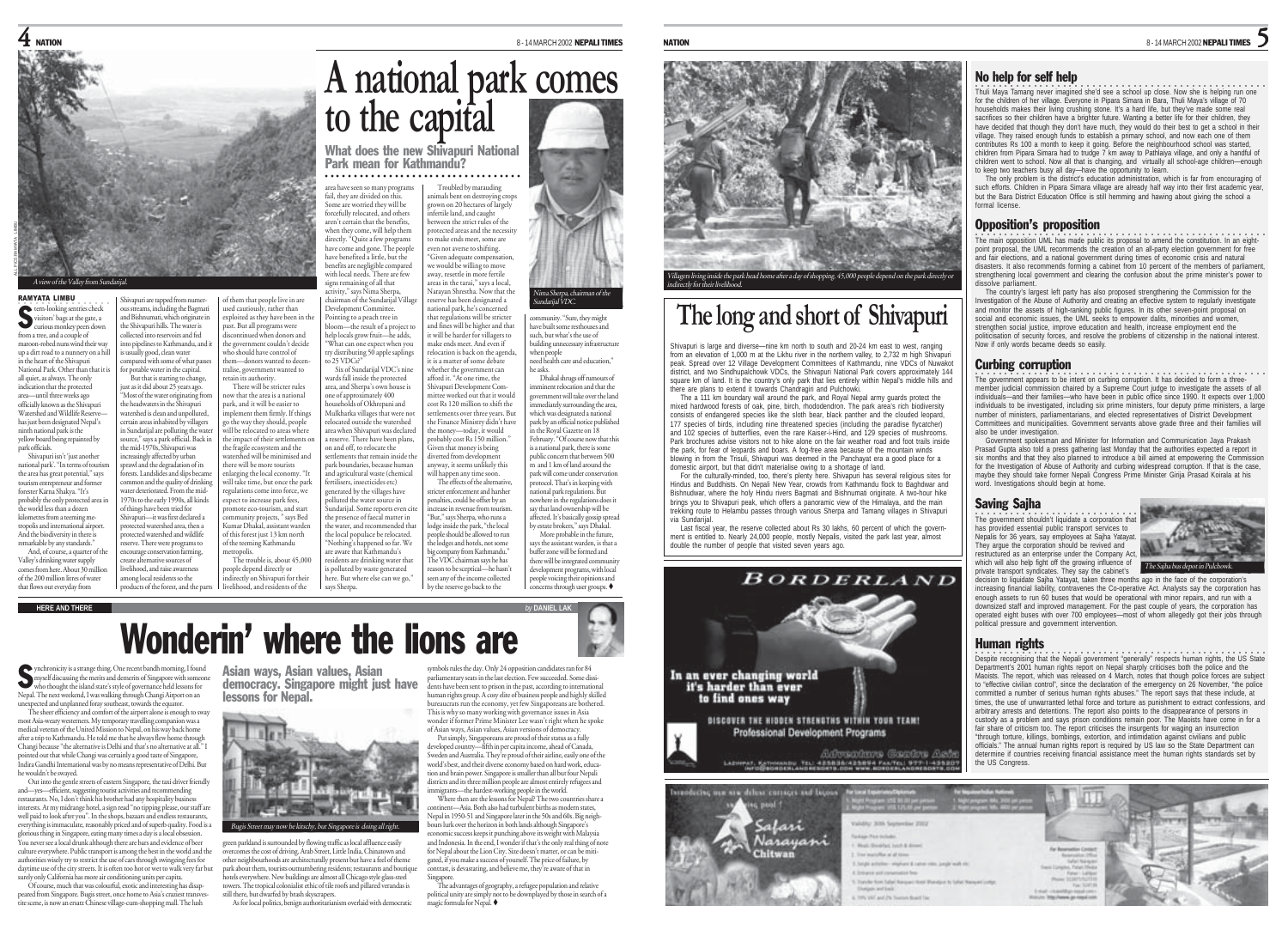

Shivapuri are tapped from numerous streams, including the Bagmati and Bishnumati, which originate in the Shivapuri hills. The water is collected into reservoirs and fed to pipelines to Kathmandu, and it is usually good, clean water ompared with some of what pass for potable water in the capital. But that is starting to change, just as it did about 25 years ago. "Most of the water originating fro the headwaters in the Shivapuri watershed is clean and unpolluted certain areas inhabited by villagers in Sundarijal are polluting the wate source," says a park official. Back in

increasingly affected by urban rawl and the degradation of its ests. Landslides and slips became mmon and the quality of drinking water deteriorated. From the mid-1970s to the early 1990s, all kinds of things have been tried for Shivapuri—it was first declared a protected watershed area, then a protected watershed and wildlife reserve. There were programs to encourage conservation farming, create alternative sources of livelihood, and raise awareness among local residents so the products of the forest, and the parts

### RAMYATA LIMBU ○○○○○○○○○○○○○○○○

ALL PICS:RAMYATA LIMBU

tern-looking sentries check visitors' bags at the gate, a curious monkey peers down from a tree, and a couple of maroon-robed nuns wind their way up a dirt road to a nunnery on a hill in the heart of the Shivapuri National Park. Other than that it is all quiet, as always. The only indication that the protected area—until three weeks ago officially known as the Shivapuri Watershed and Wildlife Reserve has just been designated Nepal's ninth national park is the yellow board being repainted by park officials. Shivapuri isn't 'just another national park'. "In terms of tourism the area has great potential," says the mid-1970s, Shivapuri was

tourism entrepreneur and former forester Karna Shakya. "It's probably the only protected area in the world less than a dozen kilometres from a teeming m tropolis and international airport. And the biodiversity in there is remarkable by any standards." And, of course, a quarter of the Valley's drinking water supply

comes from here. About 30 million of the 200 million litres of water that flows out everyday from

## **HERE AND THERE** *by* **DANIEL LAK**

area have seen so many programs fail, they are divided on this. Some are worried they will be forcefully relocated, and others aren't certain that the benefits, when they come, will help them when they come, will help come<br>directly. "Quite a few programs have benefited a little, but the ○○○○○○○○○○○○○○○○○○○○○○○○○○○○○○ ○○○○

of them that people live in are used cautiously, rather than exploited as they have been in the past. But all programs were discontinued when donors and the government couldn't decide who should have control of them—donors wanted to decen-

retain its authority.

metropolis.

have come and gone. The people benefits are negligible compared with local needs. There are few signs remaining of all that activity," says Nima Sherpa, chairman of the Sundarijal Village Development Committee. Pointing to a peach tree in bloom—the result of a project to help locals grow fruit—he adds, "What can one expect when you try distributing 50 apple saplings areas in the tarai," says a local, Narayan Shrestha. Now that the

What does the new Shivapuri National Park mean for Kathmandu?

tralise, government wanted to There will be stricter rules now that the area is a national park, and it will be easier to mplement them firmly. If things go the way they should, people will be relocated to areas where the impact of their settlements o the fragile ecosystem and the watershed will be minimised and there will be more tourists enlarging the local economy. "It will take time, but once the park regulations come into force, we expect to increase park fees, promote eco-tourism, and start mmunity projects, " says Bed Kumar Dhakal, assistant warden of this forest just 13 km north of the teeming Kathmandu The trouble is, about 45,000 people depend directly or indirectly on Shivapuri for their livelihood, and residents of the to 25 VDCs?" Six of Sundarijal VDC's nine wards fall inside the protected area, and Sherpa's own house is one of approximately 400 households of Okhrepani and Mulkharka villages that were not relocated outside the watershed area when Shivapuri was declared a reserve. There have been plans, on and off, to relocate the settlements that remain inside the park boundaries, because human and agricultural waste (chemical fertilisers, insecticides etc) generated by the villages have polluted the water source in Sundarijal. Some reports even cite the presence of faecal matter in the water, and recommended that the local populace be relocated. "Nothing's happened so far. We are aware that Kathmandu's is polluted by waste generated says Sherpa.

Shivapuri Development Comthe money—today, it would Given that money is being diverted from development will happen any time soon.

residents are drinking water that here. But where else can we go,"

Troubled by marauding animals bent on destroying crops grown on 20 hectares of largely grown on 22 a.e.<br>infertile land, and caught between the strict rules of the protected areas and the necessity to make ends meet, some are even not averse to shifting. "Given adequate compensati we would be willing to move away, resettle in more fertile

> reserve has been designated a national park, he's concerned that regulations will be stricter and fines will be higher and that it will be harder for villagers to make ends meet. And even if relocation is back on the agenda, it is a matter of some debate community. "Sure, they might have built some resthouses and are suite some reservances building unnecessary infrastructure when people need health care and education," Nima Sherpa, chairman of the Sundarijal VDC.

whether the government can afford it. "At one time, the mittee worked out that it would cost Rs 120 million to shift the settlements over three years. But the Finance Ministry didn't have probably cost Rs 150 million." anyway, it seems unlikely this The effects of the alternative, stricter enforcement and harsher stricter emorecinent and naisiter<br>penalties, could be offset by an increase in revenue from tourism. "But," says Sherpa, who runs a lodge inside the park, "the local people should be allowed to run the lodges and hotels, not some big company from Kathmandu." The VDC chairman says he has reason to be sceptical—he hasn't seen any of the income collected by the reserve go back to the he asks. Dhakal shrugs off rumours of mminent relocation and that the government will take over the land immediately surrounding the area, which was designated a national park by an official notice published in the Royal Gazette on 18 February. "Of course now that this is a national park, there is some public concern that between 500 m and 1 km of land around the park will come under conservation protocol. That's in keeping with national park regulations. But national park regulations. Dut<br>nowhere in the regulations does it say that land ownership will be affected. It's basically gossip spread by estate brokers," says Dhakal. More probable in the future says the assistant warden, is that a buffer zone will be formed and there will be integrated community development programs, with local people voicing their opinions and  $\overline{\mathbf{c}}$  concerns through user groups.



## The long and short of Shivapuri

Shivapuri is large and diverse—nine km north to south and 20-24 km east to west, ranging from an elevation of 1,000 m at the Likhu river in the northern valley, to 2,732 m high Shivapur peak. Spread over 12 Village Development Committees of Kathmandu, nine VDCs of Nuwakot district, and two Sindhupalchowk VDCs, the Shivapuri National Park covers approximately 144 square km of land. It is the country's only park that lies entirely within Nepal's middle hills and

there are plans to extend it towards Chandragiri and Pulchowki. The a 111 km boundary wall around the park, and Royal Nepal army guards protect the mixed hardwood forests of oak, pine, birch, rhododendron. The park area's rich biodiversity consists of endangered species like the sloth bear, black panther and the clouded leopard 177 species of birds, including nine threatened species (including the paradise flycatcher and 102 species of butterflies, even the rare Kaiser-i-Hind, and 129 species of mushrooms. Park brochures advise visitors not to hike alone on the fair weather road and foot trails inside the park, for fear of leopards and boars. A fog-free area because of the mountain winds blowing in from the Trisuli, Shivapuri was deemed in the Panchayat era a good place for a domestic airport, but that didn't materialise owing to a shortage of land.

For the culturally-minded, too, there's plenty here. Shivapuri has several religious sites for Hindus and Buddhists. On Nepali New Year, crowds from Kathmandu flock to Baghdwar and Bishnudwar, where the holy Hindu rivers Bagmati and Bishnumati originate. A two-hour hike brings you to Shivapuri peak, which offers a panoramic view of the Himalaya, and the main trekking route to Helambu passes through various Sherpa and Tamang villages in Shivapuri via Sundarijal.

Last fiscal year, the reserve collected about Rs 30 lakhs, 60 percent of which the government is entitled to. Nearly 24,000 people, mostly Nepalis, visited the park last year, almost double the number of people that visited seven years ago.



Narayani

**Asia Pisa Indials** 

5

Thuli Maya Tamang never imagined she'd see a school up close. Now she is helping run one<br>for the children of her village. Everyone in Pipara Simara in Bara, Thuli Maya's village of 70 households makes their living crushing stone. It's a hard life, but they've made some real sacrifices so their children have a brighter future. Wanting a better life for their children, they have decided that though they don't have much, they would do their best to get a school in their village. They raised enough funds to establish a primary school, and now each one of them contributes Rs 100 a month to keep it going. Before the neighbourhood school was started children from Pipara Simara had to trudge 7 km away to Pathlaiya village, and only a handful of children went to school. Now all that is changing, and virtually all school-age children—enough to keep two teachers busy all day—have the opportunity to learn.

The only problem is the district's education administration, which is far from encouraging of such efforts. Children in Pipara Simara village are already half way into their first academic year, but the Bara District Education Office is still hemming and hawing about giving the school a formal license.

## Opposition's proposition

No help for self help

The main opposition UML has made public its proposal to amend the constitution. In an eightpoint proposal, the UML recommends the creation of an all-party election government for free and fair elections, and a national government during times of economic crisis and natural disasters. It also recommends forming a cabinet from 10 percent of the members of parliament, strengthening local government and clearing the confusion about the prime minister's power to dissolve parliament.

The country's largest left party has also proposed strengthening the Commission for the Investigation of the Abuse of Authority and creating an effective system to regularly investigate and monitor the assets of high-ranking public figures. In its other seven-point proposal on social and economic issues, the UML seeks to empower dalits, minorities and women, strengthen social justice, improve education and health, increase employment end the politicisation of security forces, and resolve the problems of citizenship in the national interest. Now if only words became deeds so easily.

## Curbing corruption

The government appears to be intent on curbing corruption. It has decided to form a three-<br>member judicial commission chaired by a Supreme Court judge to investigate the assets of all individuals—and their families—who have been in public office since 1990. It expects over 1,000 individuals to be investigated, including six prime ministers, four deputy prime ministers, a large number of ministers, parliamentarians, and elected representatives of District Development Committees and municipalities. Government servants above grade three and their families will

also be under investigation. Government spokesman and Minister for Information and Communication Jaya Prakash Prasad Gupta also told a press gathering last Monday that the authorities expected a report in six months and that they also planned to introduce a bill aimed at empowering the Commission for the Investigation of Abuse of Authority and curbing widespread corruption. If that is the case, maybe they should take former Nepali Congress Prime Minister Girija Prasad Koirala at his word. Investigations should begin at home.

## Saving Sajha

The government shouldn't liquidate a corporation that has provided essential public transport services to Nepalis for 36 years, say employees at Sajha Yatayat. They argue the corporation should be revived and restructured as an enterprise under the Company Act, which will also help fight off the growing influence of when will also trap ingity on the growing intustive of the Sajha bus depot in Pulchowk.<br>Divide transport syndicates. They say the cabinet's The Sajha bus depot in Pulchowk.



increasing financial liability, contravenes the Co-operative Act. Analysts say the corporation has enough assets to run 60 buses that would be operational with minor repairs, and run with a downsized staff and improved management. For the past couple of years, the corporation has operated eight buses with over 700 employees—most of whom allegedly got their jobs through political pressure and government intervention.

## Human rights

○○○○ ○○○○○○○○○○○○○○○○○○○○○○○○○○○○○○○○○○○○○○○○○○○○○○ Despite recognising that the Nepali government "generally" respects human rights, the US State Department's 2001 human rights report on Nepal sharply criticises both the police and the Maoists. The report, which was released on 4 March, notes that though police forces are subject to "effective civilian control", since the declaration of the emergency on 26 November, "the police committed a number of serious human rights abuses." The report says that these include, at times, the use of unwarranted lethal force and torture as punishment to extract confessions, and arbitrary arrests and detentions. The report also points to the disappearance of persons in custody as a problem and says prison conditions remain poor. The Maoists have come in for a fair share of criticism too. The report criticises the insurgents for waging an insurrection "through torture, killings, bombings, extortion, and intimidation against civilians and public officials." The annual human rights report is required by US law so the State Department can determine if countries receiving financial assistance meet the human rights standards set by the US Congress.



## Wonderin' where the lions are

ynchronicity is a strange thing. One recent bandh morning, I found who thought the merits and demerits of Singapore with someone<br>who thought the island state's style of governance held lessons for<br>the bought the island state's style of governance held lessons for Nepal. The next weekend, I was walking through Changi Airport on an unexpected and unplanned foray southeast, towards the equator.

The sheer efficiency and comfort of the airport alone is enough to sway most Asia-weary westerners. My temporary travelling companion was a medical veteran of the United Mission to Nepal, on his way back home after a trip to Kathmandu. He told me that he always flew home through Changi because "the alternative is Delhi and that's no alternative at all." I pointed out that while Changi was certainly a good taste of Singapore, Indira Gandhi International was by no means representative of Delhi. But he wouldn't be swayed.

Out into the gentle streets of eastern Singapore, the taxi driver friendly and—yes—efficient, suggesting tourist activities and recommending restaurants. No, I don't think his brother had any hospitality busi interests. At my midrange hotel, a sign read "no tipping please, our staff are well paid to look after you". In the shops, bazaars and endless restaurants, everything is immaculate, reasonably priced and of superb quality. Food is a glorious thing in Singapore, eating many times a day is a local obsession. You never see a local drunk although there are bars and evidence of beer culture everywhere. Public transport is among the best in the world and the authorities wisely try to restrict the use of cars through swingeing fees for daytime use of the city streets. It is often too hot or wet to walk very far but surely only California has more air conditioning units per capita.

Of course, much that was colourful, exotic and interesting has disappeared from Singapore. Bugis street, once home to Asia's craziest transves-tite scene, is now an ersatz Chinese village-cum-shopping mall. The lush Asian ways, Asian values, Asian democracy. Singapore might just have lessons for Nepal.



green parkland is surrounded by flowing traffic as local affluence easily omes the cost of driving. Arab Street, Little India, Chinatown and other neighbourhoods are architecturally present but have a feel of theme park about them, tourists outnumbering residents; restaurants and boutiqu hotels everywhere. New buildings are almost all Chicago style glass-steel towers. The tropical colonialist ethic of tile roofs and pillared verandas is

still there, but dwarfed by brash skyscrapers. As for local politics, benign authoritarianism overlaid with democratic

parliamentary seats in the last election. Few succeeded. Some dissi-dents have been sent to prison in the past, according to international human rights group. A cosy elite of business people and highly skilled bureaucrats run the economy, yet few Singaporeans are bothered. This is why so many working with governance issues in Asia wonder if former Prime Minister Lee wasn't right when he spoke of Asian ways, Asian values, Asian versions of democracy.

Put simply, Singaporeans are proud of their status as a fully developed country—fifth in per capita income, ahead of Canada, Sweden and Australia. They're proud of their airline, easily one of the world's best, and their diverse economy based on hard work, education and brain power. Singapore is smaller than all but four Nepali districts and its three million people are almost entirely refugees and

Where then are the lessons for Nepal? The two countries share a continent—Asia. Both also had turbulent births as modern states, Nepal in 1950-51 and Singapore later in the 50s and 60s. Big neighbours lurk over the horizon in both lands although Singapore's economic success keeps it punching above its weight with Malaysia and Indonesia. In the end, I wonder if that's the only real thing of note for Nepal about the Lion City. Size doesn't matter, or can be mitigated, if you make a success of yourself. The price of failure, by contrast, is devastating, and believe me, they're aware of that in

Singapore. The advantages of geography, a refugee population and relative

symbols rules the day. Only 24 opposition candidates ran for 84

immigrants—the hardest-working people in the world.

political unity are simply not to be downplayed by those in search of a magic formula for Nepal.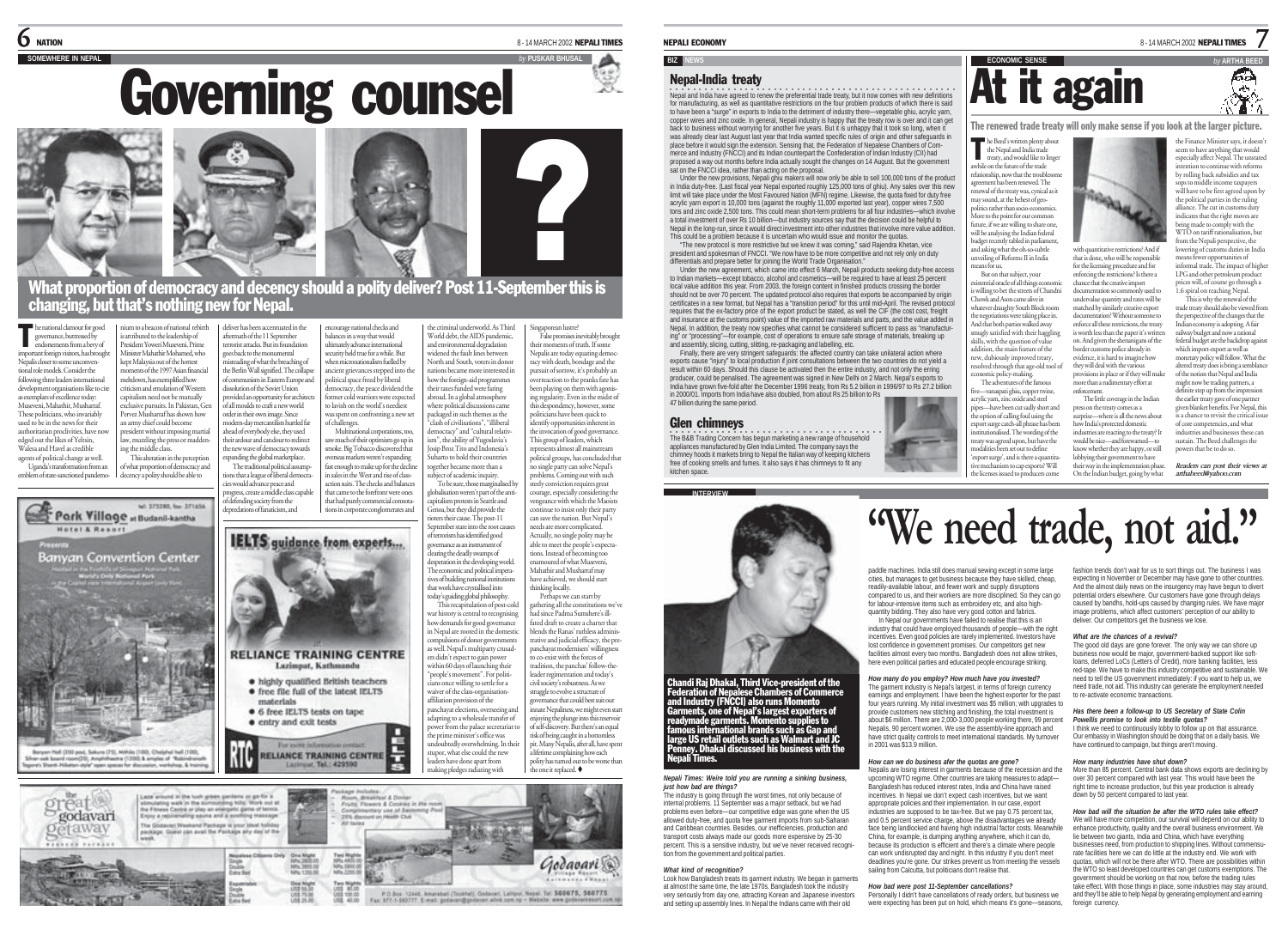$\mathsf{\mathfrak{S}}$  - 14 MARCH 2002 NEPALI TIMES

# **Governing counsel**



What proportion of democracy and decency should a polity deliver? Post 11-September this is changing, but that's nothing new for Nepa

**he national clamour for good**<br>governance, buttressed by<br>endorsements from a bevy of governance, buttressed by endorsements from a bevy of important foreign visitors, has brought Nepalis closer to some unconven-tional role models. Consider the following three leaders international development organisations like to cite as exemplars of excellence today: Museveni, Mahathir, Musharraf. These politicians, who invariably used to be in the news for their authoritarian proclivities, have now edged out the likes of Yeltsin, Walesa and Havel as credible agents of political change as well. Uganda's transformation from an s attributed to the leadership of President Yoweri Museveni. Prime Minister Mahathir Mohamed, who kept Malaysia out of the hottest

emblem of state-sanctioned pandemomeltdown, has exemplified how criticism and emulation of Western capitalism need not be mutually exclusive pursuits. In Pakistan, Gen Pervez Musharraf has shown how an army chief could become president without imposing martial law, muzzling the press or maddening the middle class.

This alteration in the perception of what proportion of democracy and

ium to a beacon of national rebirth

moments of the 1997 Asian financial



reat®

godavari

etaway

nium as beacon of national rebits and the line and section and the material and simulation of the section of the section of the section of the MS-persister Vower Multiplear Ministery Multiplear Minister Multiplear Ministe cies would advance peace and progress, create a middle class capable of defending society from the encourage national checks and balances in a way that would ultimately advance international

materials

Last around in the hush graves partiers or go for a

stimulating walk in the surrounding hills. Work out at<br>the Filmers Centre or play an energetic game of tennis<br>Enjoy a retirementing searce and a southing massage

The Godsup/LWeekend Package is your liked holiday

eckage. Quest can avail the Package any day of the

Single<br>Double<br>Extra Text

**RELIANCE TRAINING CENTRE** 

nat Tail - 420500





Е  $\frac{1}{5}$ 

Room, dewaktuar & Donise

Fruits, Finances & Condition in this re-**Mary use of Swit** 

**GAR Club** 

courage, especially considering the<br>vengeance with which the Maoists the criminal underworld. As Third World debt, the AIDS pandemic, and environmental degradation widened the fault lines between North and South, voters in donor nations became more interested in how the foreign-aid programmes their taxes funded were faring abroad. In a global atmosphere where political discussions came packaged in such themes as the "clash of civilisations", "illiberal democracy" and "cultural relativism", the ability of Yugoslavia's Josip Broz Tito and Indonesia's Suharto to hold their countries together became more than a subject of academic inquiry. To be sure, those marginalised by globalisation weren't part of the antiptember stare into the root cause desperation in the developing world. The economic and political imperatives of building national institutions This recapitulation of post-cold war history is central to recognising how demands for good governance in Nepal are moted in the domestic ngaporean lustre? False promises inevitably brought their moments of truth. If some Nepalis are today equating democracy with death, bondage and the pursuit of sorrow, it's probably an overreaction to the pranks fate has been playing on them with agonising regularity. Even in the midst of this despondency, however, some politicians have been quick to identify opportunities inherent in the invocation of good governance This group of leaders, which represents almost all mainstream political groups, has concluded that no single party can solve Nepal's problems. Coming out with such steely conviction requires great courage, especially considering the continue to insist only their party

e prime minister's office was undoubtedly overwhelming. In their stupor, what else could the new can save the nation. But Nepal's needs are more complicated. Actually, no single polity may be able to meet the people's expecta-tions. Instead of becoming too enamoured of what Museveni, Mahathir and Musharraf may have achieved, we should start thinking locally. Perhaps we can start by athering all the constitutions we'v had since Padma Sumshere's illfated draft to create a charter that blends the Ranas' ruthless administrative and judicial efficacy, the prepanchayat modernisers' willingness to co-exist with the forces of tradition, the panchas' follow-theleader regimentation and today's civil society's robustness. As we struggle to evolve a structure of governance that could best suit our <sub>.</sub><br>nnate Nepaliness, we might even start enjoying the plunge into this reservoir of self-discovery. But there's an equal risk of being caught in a bottomless pit. Many Nepalis, after all, have spent a lifetime complaining how each

polity has turned out to be worse than the one it replaced.

Godavari @

leaders have done apart from making pledges radiating with

P.O.Box: 12445, Americani (Toukhel), Goldenel, Leitiput, Nepal. Tel: 500075, 560775.<br>Fax: 177-1-100777. E-mail: poderori@godener: wink zon.rg - Website: www.poderseresort.com

### NEPALI ECONOMY

### **BIZ**

## Nepal-India treaty

○○○○○○○○○○ ○○○○○○○○○○○○○○○○○○○○○○○○○○○○○○○○○○○○○○○○ Nepal and India have agreed to renew the preferential trade treaty, but it now comes with new definitions for manufacturing, as well as quantitative restrictions on the four problem products of which there is said to have been a "surge" in exports to India to the detriment of industry there—vegetable ghiu, acrylic yarn, copper wires and zinc oxide. In general, Nepali industry is happy that the treaty row is over and it can get back to business without worrying for another five years. But it is unhappy that it took so long, when it was already clear last August last year that India wanted specific rules of origin and other safeguards in place before it would sign the extension. Sensing that, the Federation of Nepalese Chambers of Commerce and Industry (FNCCI) and its Indian counterpart the Confederation of Indian Industry (CII) had proposed a way out months before India actually sought the changes on 14 August. But the government sat on the FNCCI idea, rather than acting on the proposal.

Under the new provisions, Nepali ghiu makers will now only be able to sell 100,000 tons of the product in India duty-free. (Last fiscal year Nepal exported roughly 125,000 tons of ghiu). Any sales over this new limit will take place under the Most Favoured Nation (MFN) regime. Likewise, the quota fixed for duty free acrylic yarn export is 10,000 tons (against the roughly 11,000 exported last year), copper wires 7,500 tons and zinc oxide 2,500 tons. This could mean short-term problems for all four industries—which involve a total investment of over Rs 10 billion—but industry sources say that the decision could be helpful to Nepal in the long-run, since it would direct investment into other industries that involve more value addition This could be a problem because it is uncertain who would issue and monitor the quotas.

"The new protocol is more restrictive but we knew it was coming," said Rajendra Khetan, vice president and spokesman of FNCCI. "We now have to be more competitive and not rely only on duty

differentials and prepare better for joining the World Trade Organisation." Under the new agreement, which came into effect 6 March, Nepali products seeking duty-free access to Indian markets—except tobacco, alcohol and cosmetics—will be required to have at least 25 percent local value addition this year. From 2003, the foreign content in finished products crossing the border should not be over 70 percent. The updated protocol also requires that exports be accompanied by origin certificates in a new format, but Nepal has a "transition period" for this until mid-April. The revised protocol requires that the ex-factory price of the export product be stated, as well the CIF (the cost cost, freight and insurance at the customs point) value of the imported raw materials and parts, and the value added in Nepal. In addition, the treaty now specifies what cannot be considered sufficient to pass as "manufacturing" or "processing"—for example, cost of operations to ensure safe storage of materials, breaking up and assembly, slicing, cutting, slitting, re-packaging and labelling, etc.

Finally, there are very stringent safeguards: the affected country can take unilateral action where exports cause "injury" to local production if joint consultations between the two countries do not yield a<br>result within 60 days. Should this clause be activated then the entire industry, and not only the erring producer, could be penalised. The agreement was signed in New Delhi on 2 March. Nepal's exports to India have grown five-fold after the December 1996 treaty, from Rs 5.2 billion in 1996/97 to Rs 27.2 billion in 2000/01. Imports from India have also doubled, from about Rs 25 billion to Rs 47 billion during the same period.

## Glen chimneys

The B&B Trading Concern has begun marketing a new range of household appliances manufactured by Glen India Limited. The company says the chimney hoods it markets bring to Nepal the Italian way of keeping kitchens free of cooking smells and fumes. It also says it has chimneys to fit any kitchen space.



nandi Raj Dhakal, Third Vice-president of the<br>deration of Nepalese Chambers of Commerce<br>Id Industry (FNCCI) also runs Momento<br>arments, one of Nepal's largest exporters of<br>adymade garments. Momento supplies to<br>adymade garme Penney. Dhakal discussed his business with the ali Times.

### *Nepali Times: Weíre told you are running a sinking business, just how bad are things?*

The industry is going through the worst times, not only because of internal problems. 11 September was a major setback, but we had problems even before—our competitive edge was gone when the US allowed duty-free, and quota free garment imports from sub-Saharan and Caribbean countries. Besides, our inefficiencies, production and transport costs always made our goods more expensive by 25-30 percent. This is a sensitive industry, but we've never received recognition from the government and political parties.

## *What kind of recognition?* Look how Bangladesh treats its garment industry. We began in garments

at almost the same time, the late 1970s. Bangladesh took the industry very seriously from day one, attracting Korean and Japanese investors and setting up assembly lines. In Nepal the Indians came with their old



the Finance Minister says, it doesn' seem to have anything that would especially affect Nepal. The unstated tention to continue with reforms by rolling back subsidies and tax sops to middle income taxpayers will have to be first agreed upon b the political parties in the ruling alliance. The cut in customs duty indicates that the right moves are being made to comply with the WTO on tariff rationalisation, but from the Nepali perspective, the lowering of customs duties in India means fewer opportunities of informal trade. The impact of highe LPG and other petroleum product prices will, of course go through a 1.6 spiral on reaching Nepal. This is why the renewal of the trade treaty should also be viewed from the perspective of the changes that the

7

ÆЭ Á.

## **At it again**

The renewed trade treaty will only make sense if you look at the larger picture.

he Beed's written plenty about the Nepal and India trade treaty, and would like to linge awhile on the future of the trade relationship, now that the troublesome reement has been renewed. The renewal of the treaty was, cynical as it may sound, at the behest of geopolitics rather than socio-economics. More to the point for our common future, if we are willing to share one will be analysing the Indian federal udget recently tabled in parliament and asking what the oh-so-subtle unveiling of Reforms II in India with quantitative restrictions? And if that is done, who will be responsible T

means for us. But on that subject, your for the licensing procedure and for enforcing the restrictions? Is there a chance that the creative import documentation so commonly used to undervalue quantity and rates will be matched by similarly creative export documentation? Without someone to

'export surge', and is there a quantitative mechanism to cap exports? Will the licenses issued to producers come The little coverage in the Indian press on the treaty comes as a surprise—where is all the news about how India's protected domestic industries are reacting to the treaty? It would be nice—and forewarned—to know whether they are happy, or still lobbying their government to have their way in the implementation phase.

On the Indian budget, going by what

enforce all these restrictions, the treaty is worth less than the paper it's written on. And given the shenanigans of the border customs police already in evidence, it is hard to imagine how they will deal with the various provisions in place or if they will make more than a rudimentary effort at Indian economy is adopting. A fair railway budget and now a rational federal budget are the backdrop against which import-export as well as monetary policy will follow. What the altered treaty does is bring a semblance of the notion that Nepal and India might now be trading partners, a definite step up from the impression the earlier treaty gave of one partner given blanket benefits. For Nepal, this

is a chance to revisit the critical issue of core competencies, and what industries and businesses these can sustain. The Beed challenges the powers that be to do so.

*Readers can post their views at arthabeed@yahoo.com*

**"We need trade, not aid."**

paddle machines. India still does manual sewing except in some large cities, but manages to get business because they have skilled, cheap, readily-available labour, and fewer work and supply disruptions compared to us, and their workers are more disciplined. So they can go for labour-intensive items such as embroidery etc, and also highquantity bidding. They also have very good cotton and fabrics. In Nepal our governments have failed to realise that this is an

industry that could have employed thousands of people—with the right incentives. Even good policies are rarely implemented. Investors have lost confidence in government promises. Our competitors get new facilities almost every two months. Bangladesh does not allow strikes, here even political parties and educated people encourage striking.

*How many do you employ? How much have you invested?* The garment industry is Nepal's largest, in terms of foreign currency earnings and employment. I have been the highest exporter for the past four years running. My initial investment was \$5 million; with upgrades to provide customers new stitching and finishing, the total investment is about \$6 million. There are 2,000-3,000 people working there, 99 percent Nepalis, 90 percent women. We use the assembly-line approach and have strict quality controls to meet international standards. My turnover in 2001 was \$13.9 million.

## *How can we do business afer the quotas are gone?*

Nepalis are losing interest in garments because of the recession and the upcoming WTO regime. Other countries are taking measures to adapt— Bangladesh has reduced interest rates, India and China have raised incentives. In Nepal we don't expect cash incentives, but we want appropriate policies and their implementation. In our case, export industries are supposed to be tax-free. But we pay 0.75 percent tax, and 0.5 percent service charge, above the disadvantages we already face being landlocked and having high industrial factor costs. Meanwhile China, for example, is dumping anything anywhere, which it can do, because its production is efficient and there's a climate where people can work undisrupted day and night. In this industry if you don't meet deadlines you're gone. Our strikes prevent us from meeting the vessels sailing from Calcutta, but politicians don't realise that.

### *How bad were post 11-September cancellations?*

Personally I didn't have cancellations of ready orders, but business we were expecting has been put on hold, which means it's gone-seasons. fashion trends don't wait for us to sort things out. The business I was expecting in November or December may have gone to other countries. And the almost daily news on the insurgency may have begun to divert potential orders elsewhere. Our customers have gone through delays caused by bandhs, hold-ups caused by changing rules. We have major image problems, which affect customers' perception of our ability to deliver. Our competitors get the business we lose.

## *What are the chances of a revival?*

The good old days are gone forever. The only way we can shore up business now would be major, government-backed support like soft-loans, deferred LoCs (Letters of Credit), more banking facilities, less red-tape. We have to make this industry competitive and sustainable. We need to tell the US government immediately: if you want to help us, we need trade, not aid. This industry can generate the employment needed to re-activate economic transactions.

### *Has there been a follow-up to US Secretary of State Colin Powellís promise to look into textile quotas?*

I think we need to continuously lobby to follow up on that assurance Our embassy in Washington should be doing that on a daily basis. We have continued to campaign, but things aren't moving.

## *How many industries have shut down?*

More than 85 percent. Central bank data shows exports are declining by over 30 percent compared with last year. This would have been the right time to increase production, but this year production is already down by 50 percent compared to last year.

*How bad will the situation be after the WTO rules take effect?* We will have more competition, our survival will depend on our ability to enhance productivity, quality and the overall business environment. We lie between two giants, India and China, which have everything businesses need, from production to shipping lines. Without commensurate facilities here we can do little at the industry end. We work with quotas, which will not be there after WTO. There are possibilities within the WTO so least developed countries can get customs exemptions. The government should be working on that now, before the trading rules take effect. With those things in place, some industries may stay around, and they'll be able to help Nepal by generating employment and earning foreign currency.



modalities been set out to define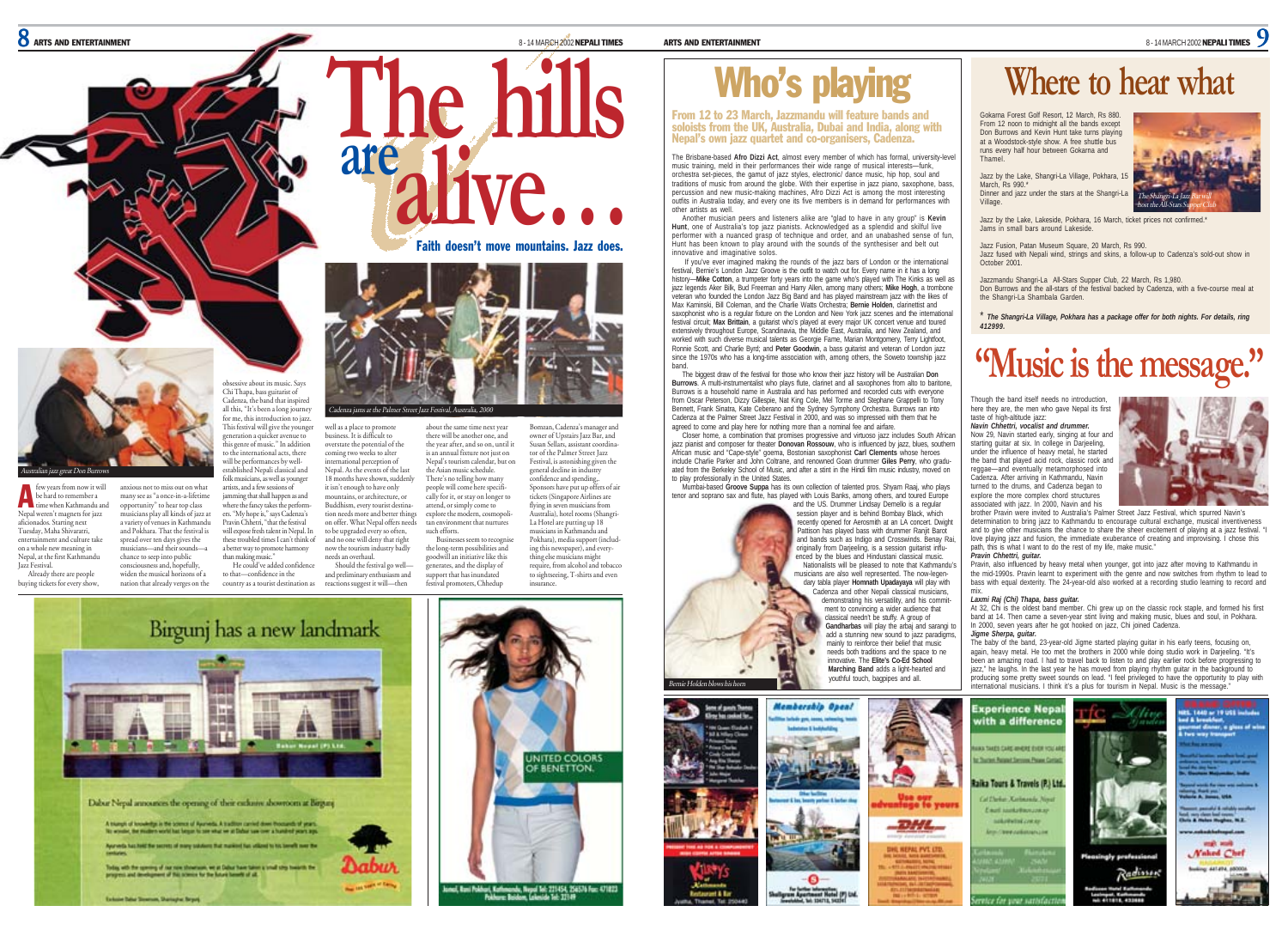**B** ARTS AND ENTERTAINMENT

few years from now it will be hard to remember a time when Kathmandu and<br>
time when Kathmandu and Nepal weren't magnets for jazz aficionados. Starting next Tuesday, Maha Shivaratri, entertainment and culture take on a whole new meaning in Nepal, at the first Kathmandu Jazz Festival. Already there are people buying tickets for every show,

reat Don Bu

## Who's playing

From 12 to 23 March, Jazzmandu will feature bands and

The Brisbane-based **Afro Dizzi Act**, almost every member of which has formal, university-level music training, meld in their performances their wide range of musical interests—funk, orchestra set-pieces, the gamut of jazz styles, electronic/ dance music, hip hop, soul and traditions of music from around the globe. With their expertise in jazz piano, saxophone, bass, percussion and new music-making machines, Afro Dizzi Act is among the most interesting outfits in Australia today, and every one its five members is in demand for performances with other artists as well. **Soloists from 12 to 23 March, Jazzmandu will feature bands and the distribution and India, along with Nepal's own jazz quartet and co-organisers, Cadenza.<br>
The higher solon and the UK, Australia, Dubai and India, along wi** 

Another musician peers and listeners alike are "glad to have in any group" is **Kevin Hunt**, one of Australia's top jazz pianists. Acknowledged as a splendid and skilful live performer with a nuanced grasp of technique and order, and an unabashed sense of fun, Hunt has been known to play around with the sounds of the synthesiser and belt out innovative and imaginative solos.

 If you've ever imagined making the rounds of the jazz bars of London or the international festival, Bernie's London Jazz Groove is the outfit to watch out for. Every name in it has a long history—**Mike Cotton**, a trumpeter forty years into the game who's played with The Kinks as well as jazz legends Aker Bilk, Bud Freeman and Harry Allen, among many others; **Mike Hogh**, a trombone veteran who founded the London Jazz Big Band and has played mainstream jazz with the likes of Max Kaminski, Bill Coleman, and the Charlie Watts Orchestra; **Bernie Holden**, clarinettist and saxophonist who is a regular fixture on the London and New York jazz scenes and the international festival circuit; **Max Brittain**, a guitarist who's played at every major UK concert venue and toured extensively throughout Europe, Scandinavia, the Middle East, Australia, and New Zealand, and worked with such diverse musical talents as Georgie Fame, Marian Montgomery, Terry Lightfoot Ronnie Scott, and Charlie Byrd; and **Peter Goodwin**, a bass guitarist and veteran of London jazz since the 1970s who has a long-time association with, among others, the Soweto township jazz band.

The biggest draw of the festival for those who know their jazz history will be Australian **Don Burrows**. A multi-instrumentalist who plays flute, clarinet and all saxophones from alto to baritone, Burrows is a household name in Australia and has performed and recorded cuts with everyone from Oscar Peterson, Dizzy Gillespie, Nat King Cole, Mel Torme and Stephane Grappelli to Tony Bennett, Frank Sinatra, Kate Ceberano and the Sydney Symphony Orchestra. Burrows ran into Cadenza at the Palmer Street Jazz Festival in 2000, and was so impressed with them that he agreed to come and play here for nothing more than a nominal fee and airfare.

Closer home, a combination that promises progressive and virtuoso jazz includes South African jazz pianist and composer for theater **Donovan Rossouw**, who is influenced by jazz, blues, southern African music and "Cape-style" goema, Bostonian saxophonist **Carl Clements** whose heroes include Charlie Parker and John Coltrane, and renowned Goan drummer **Giles Perry**, who graduated from the Berkeley School of Music, and after a stint in the Hindi film music industry, moved on to play professionally in the United States.

Mumbai-based **Groove Suppa** has its own collection of talented pros. Shyam Raaj, who plays tenor and soprano sax and flute, has played with Louis Banks, among others, and toured Europe

**Membership Open!** 

and the US. Drummer Lindsay Demello is a regular session player and is behind Bombay Black, which recently opened for Aerosmith at an LA concert. Dwight Pattison has played bass with drummer Ranjit Barot and bands such as Indigo and Crosswinds. Benay Rai, originally from Darjeeling, is a session guitarist influenced by the blues and Hindustani classical music. Nationalists will be pleased to note that Kathmandu's musicians are also well represented. The now-legendary tabla player **Homnath Upadayaya** will play with Cadenza and other Nepali classical musicians, demonstrating his versatility, and his commitment to convincing a wider audience that classical needn't be stuffy. A group of **Gandharbas** will play the arbai and sarangi to add a stunning new sound to jazz paradigms mainly to reinforce their belief that music needs both traditions and the space to ne innovative. The **Elite's Co-Ed School Marching Band** adds a light-hearted and youthful touch, bagpipes and all.



The Shangri-La Jazz Bar will host the All-Stars Supper Club

## **Where to hear what**

Gokarna Forest Golf Resort, 12 March, Rs 880. From 12 noon to midnight all the bands except Don Burrows and Kevin Hunt take turns playing at a Woodstock-style show. A free shuttle bus runs every half hour between Gokarna and Thamel.

Jazz by the Lake, Shangri-La Village, Pokhara, 1 March, Re 990. Dinner and jazz under the stars at the Shangri-La Village.

Jazz by the Lake, Lakeside, Pokhara, 16 March, ticket prices not confirmed.\* Jams in small bars around Lakeside.

Jazz Fusion, Patan Museum Square, 20 March, Rs 990. Jazz fused with Nepali wind, strings and skins, a follow-up to Cadenza's sold-out show in October 2001.

Jazzmandu Shangri-La All-Stars Supper Club, 22 March, Rs 1,980. Don Burrows and the all-stars of the festival backed by Cadenza, with a five-course meal at the Shangri-La Shambala Garden.

\* *The Shangri-La Village, Pokhara has a package offer for both nights. For details, ring 412999.*

## **"Music is the message."**

Though the band itself needs no introduction, here they are, the men who gave Nepal its first taste of high-altitude jazz: *Navin Chhettri, vocalist and drummer.*

Now 29, Navin started early, singing at four and starting quitar at six. In college in Darjeeling, under the influence of heavy metal, he started the band that played acid rock, classic rock and reggae—and eventually metamorphosed into Cadenza. After arriving in Kathmandu, Navin turned to the drums, and Cadenza began to explore the more complex chord structures associated with jazz. In 2000, Navin and his



brother Pravin were invited to Australia's Palmer Street Jazz Festival, which spurred Navin's determination to bring jazz to Kathmandu to encourage cultural exchange, musical inventiveness and to give other musicians the chance to share the sheer excitement of playing at a jazz festival. "I love playing jazz and fusion, the immediate exuberance of creating and improvising. I chose this path, this is what I want to do the rest of my life, make music. *Pravin Chhettri, guitar.*

Pravin, also influenced by heavy metal when younger, got into jazz after moving to Kathmandu in the mid-1990s. Pravin learnt to experiment with the genre and now switches from rhythm to lead to bass with equal dexterity. The 24-year-old also worked at a recording studio learning to record and

## mix. *Laxmi Raj (Chi) Thapa, bass guitar.*

At 32, Chi is the oldest band member. Chi grew up on the classic rock staple, and formed his first band at 14. Then came a seven-year stint living and making music, blues and soul, in Pokhara. In 2000, seven years after he got hooked on jazz, Chi joined Cadenza. *Jigme Sherpa, guitar.*

The baby of the band, 23-year-old Jigme started playing guitar in his early teens, focusing on, again, heavy metal. He too met the brothers in 2000 while doing studio work in Darjeeling. "It's<br>been an amazing road. I had to travel back to listen to and play earlier rock before progressing to jazz," he laughs. In the last year he has moved from playing rhythm guitar in the background to producing some pretty sweet sounds on lead. "I feel privileged to have the opportunity to play with international musicians. I think it's a plus for tourism in Nepal. Music is the message.



obsessive about its music. Says Chi Thapa, bass guitarist of Cadenza, the band that inspired

anxious not to miss out on what many see as "a once-in-a-lifetime opportunity" to hear top class musicians play all kinds of jazz at a variety of venues in Kathmandu and Pokhara. That the festival is spread over ten days gives the musicians—and their sounds—a chance to seep into public consciousness and, hopefully, than making music."

widen the musical horizons of a nation that already verges on the

**Schole Sale Sources, Statistic Street** 

all this, "It's been a long journey for me, this introduction to jazz. This festival will give the younger generation a quicker avenue to this genre of music." In addition to the international acts, there will be performances by wellestablished Nepali classical and folk musicians, as well as younger artists, and a few sessions of jamming that shall happen as and where the fancy takes the performers. "My hope is," says Cadenza's Pravin Chhetri, "that the festival will expose fresh talent in Nepal. In

these troubled times I can't think of a better way to promote harmony

an maxing music.<br>He could've added confidence to that—confidence in the country as a tourist destination as

well as a place to promote business. It is difficult to overstate the potential of the coming two weeks to alter is  $\cdots$ <br>ational perception of Nepal. As the events of the last 18 months have shown, suddenly it isn't enough to have only mountains, or architecture, or Buddhism, every tourist destination needs more and better things on offer. What Nepal offers needs to be upgraded every so often, and no one will deny that right now the tourism industry badly needs an overhaul. such efforts.

Should the festival go welland preliminary enthusiasm and reactions suggest it will—then

**are**

There's no telling how many people will come here specifically for it, or stay on longer to attend, or simply come to explore the modern, cosmopolitan environment that nurtures Businesses seem to recognise the long-term possibilities and goodwill an initiative like this generates, and the display of support that has inundated festival promoters, Chhedup Susan Sellars, assistant coordinator of the Palmer Street Jazz Festival, is astonishing given the insurance.

Faith doesn't move mountains. Jazz does.

general decline in industry confidence and spending,. Sponsors have put up offers of ai tickets (Singapore Airlines are flying in seven musicians from Australia), hotel rooms (Shangri-La Hotel are putting up 18 musicians in Kathmandu and Pokhara), media support (including this newspaper), and everything else musicians might require, from alcohol and tobacco to sightseeing, T-shirts and even





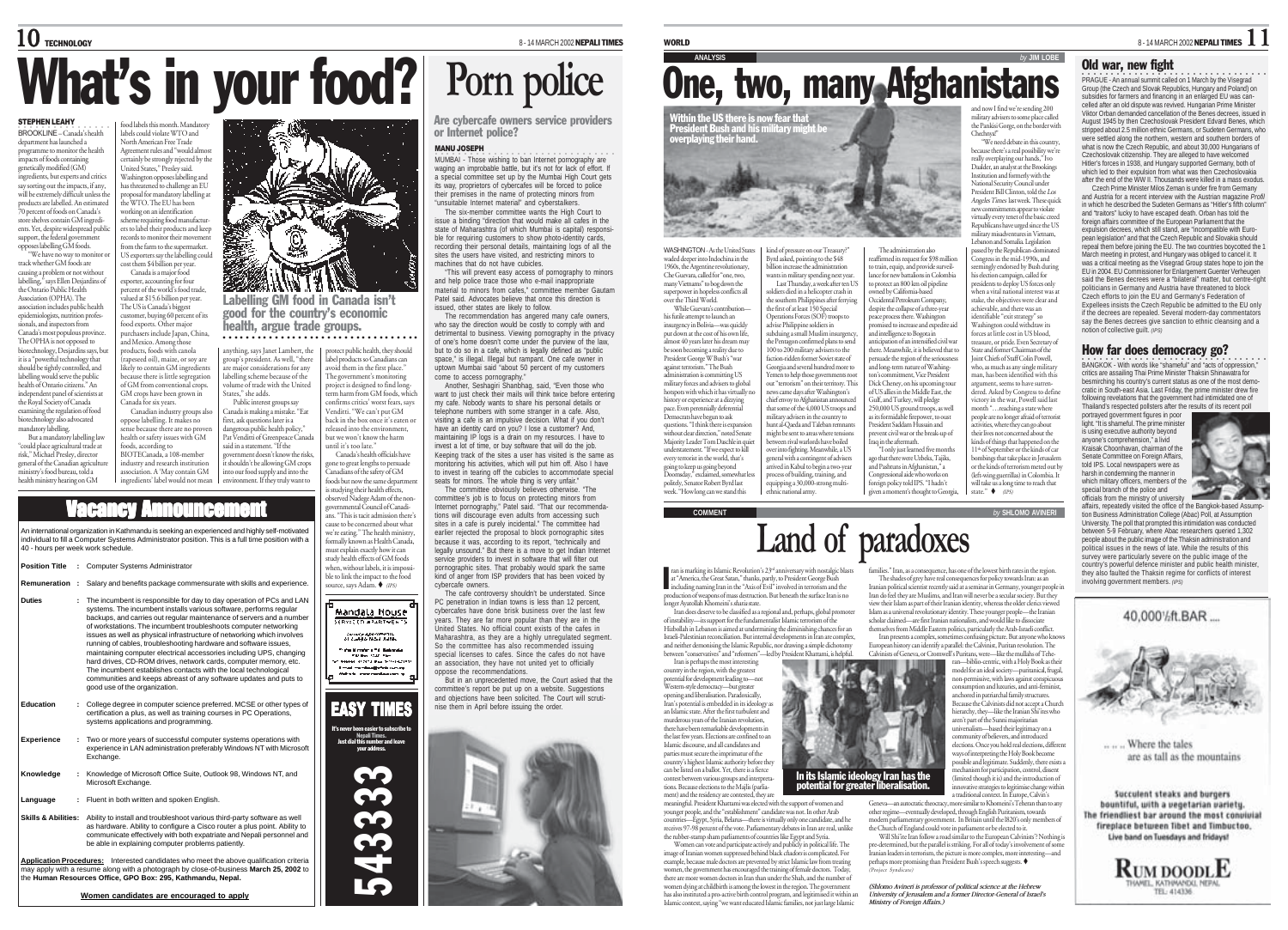# **What's in your food?** Porn police

## STEPHEN LEAHY<br>BROOKLINE – Canada's health

department has launched a programme to monitor the health programme to monitor the .<br>impacts of foods containing genetically modified (GM) ingredients, but experts and critics say sorting out the impacts, if any, will be extremely difficult unless the products are labelled. An estimated 70 percent of foods on Canada's store shelves contain GM ingredients. Yet, despite widespread publi support, the federal government labels could violate WTO and North American Free Trade Agreement rules and "would almost

opposes labelling GM foods. "We have no way to monitor or track whether GM foods are causing a problem or not without labelling," says Ellen Desjardins of the Ontario Public Health Association (OPHA). The association includes public health epidemiologists, nutrition professionals, and inspectors from Canada's most populous province. The OPHA is not opposed to biotechnology, Desjardins says, but it is a "powerful technology that should be tightly controlled, and

labelling would serve the public health of Ontario citizens." An independent panel of scientists at the Royal Society of Canada examining the regulation of food biotechnology also advocated mandatory labelling. But a mandatory labelling law

40 - hours per week work schedule.

**Position Title :** Computer Systems Administrator

"could place agricultural trade at risk," Michael Presley, director general of the Canadian agricultur ministry's food bureau, told a health ministry hearing on GM Canada for six years. Canadian industry groups also oppose labelling. It makes no sense because there are no prove health or safety issues with GM foods, according to BIOTECanada, a 108-member industry and research institution association. A 'May contain GM

certainly be strongly rejected by the United States," Presley said. Washington opposes labelling and has threatened to challenge an EU osal for mandatory labelling at the WTO. The EU has been working on an identification scheme requiring food manufacturers to label their products and keep records to monitor their movement from the farm to the supermarket. US exporters say the labelling could co expositions, the measure Canada is a major food

food labels this month. Mandatory

exporter, accounting for four percent of the world's food trade, valued at \$15.6 billion per year. The US is Canada's biggest astomer, buying 60 percent of its food exports. Other major purchasers include Japan, China, and Mexico. Among those products, foods with canola

(rapeseed oil), maize, or soy are likely to contain GM ingredients because there is little segregation of GM from conventional crops. GM crops have been grown in States," she adds.

ingredients' label would not mean into our food supply and into the environment. If they truly want to

health, argue trade groups. anything, says Janet Lambert, the group's president. As well, "there ○○○○○○○○○○○○○○○○○○○○○○○○○○○

labelling scheme because of the volume of trade with the United Public interest groups say Canada is making a mistake. "Eat first, ask questions later is a dangerous public health policy, Pat Venditti of Greenpeace Canada said in a statement. "If the government doesn't know the risks, it shouldn't be allowing GM crops

Labelling GM food in Canada isn't good for the country's economic

are major considerations for any

Canada's health officials have gone to great lengths to persuade Canadians of the safety of GM foods but now the same departme

protect public health, they should label products so Canadians can avoid them in the first place." The government's monitoring project is designed to find longterm harm from GM foods, which confirms critics' worst fears, says Venditti. "We can't put GM back in the box once it's eaten or

released into the environment, but we won't know the harm until it's too late."

is studying their health effects,

observed Nadege Adam of the non-governmental Council of Canadians. "This is tacit admission there's cause to be concerned about what we're eating." The health ministry, formally known as Health Canada, must explain exactly how it can study health effects of GM foods when, without labels, it is impossible to link the impact to the food



**Knowledge :** Knowledge of Microsoft Office Suite, Outlook 98, Windows NT, and Microsoft Exchange.

An international organization in Kathmandu is seeking an experienced and highly self-motivated individual to fill a Computer Systems Administrator position. This is a full time position with a

Vacancy Announcement

**Remuneration :** Salary and benefits package commensurate with skills and experience.

**Language :** Fluent in both written and spoken English.

Exchange.

good use of the organization.

systems applications and programming.

**Skills & Abilities:** Ability to install and troubleshoot various third-party software as well as hardware. Ability to configure a Cisco router a plus point. Ability to communicate effectively with both expatriate and Nepali personnel and be able in explaining computer problems patiently.

**Application Procedures:** Interested candidates who meet the above qualification criteria may apply with a resume along with a photograph by close-of-business **March 25, 2002** to the **Human Resources Office, GPO Box: 295, Kathmandu, Nepal.**

Are cybercafe owners service providers or Internet police?

MANU JOSEPH **ODICAL - Those wishing to ban Internet pornography are** waging an improbable battle, but it's not for lack of effort. If a special committee set up by the Mumbai High Court gets its way, proprietors of cybercafes will be forced to police their premises in the name of protecting minors from "unsuitable Internet material" and cyberstalkers.

The six-member committee wants the High Court to issue a binding "direction that would make all cafes in the state of Maharashtra (of which Mumbai is capital) responsible for requiring customers to show photo-identity cards. recording their personal details, maintaining logs of all the sites the users have visited, and restricting minors to machines that do not have cubicles.

"This will prevent easy access of pornography to minors and help police trace those who e-mail inappropriate material to minors from cafes," committee member Gautam Patel said. Advocates believe that once this direction is issued, other states are likely to follow.

The recommendation has angered many cafe owners who say the direction would be costly to comply with and detrimental to business. Viewing pornography in the privacy of one's home doesn't come under the purview of the law, but to do so in a cafe, which is legally defined as "public space," is illegal. Illegal but rampant. One cafe owner in uptown Mumbai said "about 50 percent of my customers come to access pornography.

Another, Seshagiri Shanbhag, said, "Even those who want to just check their mails will think twice before entering my cafe. Nobody wants to share his personal details or telephone numbers with some stranger in a cafe. Also, visiting a cafe is an impulsive decision. What if you don't have an identity card on you? I lose a customer? And, maintaining IP logs is a drain on my resources. I have to invest a lot of time, or buy software that will do the job. Keeping track of the sites a user has visited is the same as monitoring his activities, which will put him off. Also I have to invest in tearing off the cubicles to accommodate special seats for minors. The whole thing is very unfair."

The committee obviously believes otherwise. "The committee's job is to focus on protecting minors from Internet pornography," Patel said. "That our recommendations will discourage even adults from accessing such sites in a cafe is purely incidental." The committee had earlier rejected the proposal to block pornographic sites because it was, according to its report, "technically and legally unsound." But there is a move to get Indian Internet service providers to invest in software that will filter out pornographic sites. That probably would spark the same kind of anger from ISP providers that has been voiced by cybercafe owners.

The cafe controversy shouldn't be understated. Since PC penetration in Indian towns is less than 12 percent, cybercafes have done brisk business over the last few years. They are far more popular than they are in the United States. No official count exists of the cafes in Maharashtra, as they are a highly unregulated segment. So the committee has also recommended issuing special licenses to cafes. Since the cafes do not have an association, they have not united yet to officially oppose the recommendations.

But in an unprecedented move, the Court asked that the committee's report be put up on a website. Suggestions and objections have been solicited. The Court will scrutinise them in April before issuing the order





WASHINGTON- As the United States waded deeper into Indochina in the 1960s, the Argentine revolutionary, Che Guevara, called for "one, two, many Vietnams" to bog down the superpower in hopeless conflicts all over the Third World. While Guevara's contributio his futile attempt to launch an insurgency in Bolivia—was quickly put down at the cost of his own life almost 40 years later his dream may be soon becoming a reality due to President George W Bush's "war against terrorism." The Bush inistration is committing US military forces and advisers to global hotspots with which it has virtually no history or experience at a dizzying pace. Even perennially deferential Democrats have begun to ask questions. "I think there is expans without clear direction," noted Senate Majority Leader Tom Daschle in quiet understatement. "If we expect to kill every terrorist in the world, that's going to keep us going beyond Doomsday," exclaimed, somewhat less politely, Senator Robert Byrd last kind of pressure on our Tres Byrd asked, pointing to the \$48 billion increase the administration wants in military spending next year Last Thursday, a week after ten US soldiers died in a helicopter crash in the southern Philippines after ferrying the first of at least 150 Special Operations Forces (SOF) troops to advise Philippine soldiers in subduing a small Muslim insurgency the Pentagon confirmed plans to send 100 to 200 military advisers to the faction-ridden former Soviet state of Georgia and several hundred more to Yemen to help those governments root out "terrorism" on their territory. This news came days after Washington's chief envoy to Afghanistan announced that some of the 4,000 US troops and military advisers in the country to hunt al-Qaeda and Taleban remnants might be sent to areas where tensions between rival warlords have boiled over into fighting. Meanwhile, a US eneral with a contingent of adviser arrived in Kabul to begin a two-year process of building, training, and

peace process there. Washington sed to increase and expedite aid and intelligence to Bogota in anticipation of an intensified civil war there. Meanwhile, it is believed that to persuade the region of the seriousnes and long-term nature of Washinguig, commune or waarin<br>ommitment, Vice Presiden Dick Cheney, on his upcoming to of US allies in the Middle East, the Gulf, and Turkey, will pledge 250,000 US ground troops, as well as its formidable firepower, to oust President Saddam Hussain and prevent civil war or the break-up of rag in the aftermath "I only just learned five months and Pashtuns in Afghanistan," a

The administration also

oned by California-based Occidental Petroleum Company,

ago that there were Uzbeks, Tajiks, Congressional aide who works on foreign policy told IPS. "I hadn't given a moment's thought to Georgia,

## **Land of paradoxes**

at "America, the Great Satan," thanks, partly, to President George Bush including naming Iran in the "Axis of Evil" involved in terrorism and the production of weapons of mass destruction. But beneath the surface Iran is no longer Ayatollah Khomeini's sharia state.

Iran does deserve to be classified as a regional and, perhaps, global promoter of instability-its support for the fundamentalist Islamic terrorism of th Hizbollah in Lebanon is aimed at undermining the diminishing chances for a Israeli-Palestinian reconciliation. But internal developments in Iran are complex, and neither demonising the Islamic Republic, nor drawing a simple dichotomy between "conservatives" and "reformers"—led by President Khattami, is helpful.

Iran is perhaps the most interesting country in the region, with the greatest potential for development leading to—not Western-style democracy—but greater opening and liberalisation. Paradoxically, Iran's potential is embedded in its ideology as an Islamic state. After the first turbulent and murderous years of the Iranian revolution, there have been remarkable developments in the last few years. Elections are confined to an Islamic discourse, and all candidates and parties must secure the imprimatur of the country's highest Islamic authority before they can be listed on a ballot. Yet, there is a fierce contest between various groups and interpreta-tions. Because elections to the Majlis (parliament) and the residency are contested, they are

meaningful. President Khattami was elected with the support of women and younger people, and the "establishment" candidate was not. In other Arab countries—Egypt, Syria, Belarus—there is virtually only one candidate, and he receives 97-98 percent of the vote. Parliamentary debates in Iran are real, unlike the rubber-stamp sham parliaments of countries like Egypt and Syria.

Women can vote and participate actively and publicly in political life. The image of Iranian women suppressed behind black *chadors* is complicated. For<br>example, because male doctors are prevented by strict Islamic law from treating women, the government has encouraged the training of female doctors. Today there are more women doctors in Iran than under the Shah, and the number of women dying at childbirth is among the lowest in the region. The government has also instituted a pro-active birth control program, and legitimised it within an Islamic context, saying "we want educated Islamic families, not just large Islamic

**One, two, many Afghanistans** and now I find we're sending 200 military advisers to some place called the Pankisi Gorge, on the border with

> eaffirmed its request for \$98 million to train, equip, and provide surveillance for new battalions in Colombia to protect an 800 km oil pipeline despite the collapse of a three-year Chechnya!" "We need debate in this country, because there's a real possibility we're really overplaying our hands," Ivo Daalder, an analyst at the Brooking Institution and formerly with the National Security Council under President Bill Clinton, told the Los Angeles Times last week. These quick new commitments appear to violate virtually every tenet of the basic creed Republicans have urged since the US military misadventures in Vietnam, numary museuvernumes in Technic<br>Lebanon and Somalia. Legislation passed by the Republican-dominated Congress in the mid-1990s, and seemingly endorsed by Bush during his election campaign, called for presidents to deploy US forces only when a vital national interest was at stake, the objectives were clear and achievable, and there was an identifiable "exit strategy" so Washington could withdraw its forces at little cost in US blood, treasure, or pride. Even Secretary of tate and former Chairman of th Joint Chiefs of Staff Colin Powell, who, as much as any single militar mo, as maen as any angle minury<br>nan, has been identified with thi argument, seems to have surren-dered. Asked by Congress to define victory in the war, Powell said last month "…reaching a state where

people are no longer afraid of terrorist activities, where they can go about their lives not concerned about the kinds of things that happened on the 11<sup>th</sup> of September or the kinds of car bombings that take place in Jerusalem or the kinds of terrorism meted out by (left-wing guerrillas) in Colombia. It<br>will take us a long time to reach that e us a long time to reach that state."  $\blacklozenge$  (IPS)



affairs, repeatedly visited the office of the Bangkok-based Assumption Business Administration College (Abac) Poll, at Assumption University. The poll that prompted this intimidation was conducted between 5-9 February, where Abac researchers queried 1,302 people about the public image of the Thaksin administration and political issues in the news of late. While the results of this survey were particularly severe on the public image of the country's powerful defence minister and public health minister they also faulted the Thaksin regime for conflicts of interest involving government members. *(IPS)*

40.000%ft.BAR....

Iranian political scientist recently said at a seminar in Germany, younger people in Iranian pointed security conserved the accuracy of the secular society. But they Iran do feel they are Muslims, and Iran will never be a secular society. But they view their Islam as part of their Iranian identity, whereas the older clerics viewed Islam as a universal revolutionary identity. These younger people—the Iranian scholar claimed—are first Iranian nationalists, and would like to dissociate themselves from Middle Eastern politics, particularly the Arab-Israeli conflict. Iran presents a complex, sometimes confusing picture. But anyone who knows

European history can identify a parallel: the Calvinist, Puritan revolution. The Calvinists of Geneva, or Cromwell's Puritans, were—like the mullahs of Teheran—biblio-centric, with a Holy Book as their model for an ideal society—puritanical, frugal, non-permissive, with laws against conspicuo consumption and luxuries, and anti-feminist, anchored in patriarchal family structures. Because the Calvinists did not accept a Church hierarchy, they—like the Iranian Shi'ites who aren't part of the Sunni majoritarian universalism—based their legitimacy on a community of believers, and introduced elections. Once you hold real elections, different ways of interpreting the Holy Book become possible and legitimate. Suddenly, there exists a

 $"$  Iran, as a consequence, has one of the lowest birth rates in the region. The shades of grey have real consequences for policy towards Iran: as an

mechanism for participation, control, dissent (limited though it is) and the introduction of innovative strategies to legitimise change within a traditional context. In Europe, Calvin's Geneva—an autocratic theocracy, more similar to Khomeini's Teheran than to any other regime—eventually developed, through English Puritanism, towards In its Islamic ideology Iran has the potential for greater liberalisation.

modern parliamentary government. In Britain until the l820's only members of the Church of England could vote in parliament or be elected to it. Will Shi'ite Iran follow a road similar to the European Calvinists'? Nothing is

pre-determined, but the parallel is striking. For all of today's involvement of some Iranian leaders in terrorism, the picture is more complex, more interesting—and perhaps more promising than President Bush's speech suggests. (Project Syndicate)

*(Shlomo Avineri is professor of political science at the Hebrew University of Jerusalem and a former Director-General of Israel's Ministry of Foreign Affairs.)*

...... Where the tales are as tall as the mountains

Succulent steaks and burgers bountiful, with a vegetarian variety. The friendliest bar around the most convivial fireplace between libet and limbuctoo. Live band on Tuesdays and fridays!



WORLD 8-14 MARCH 2002 NEPALI TIMES  $\begin{bmatrix} 1 \end{bmatrix}$ 

## Old war, new fight

•<br>PRAGUE - An annual summit called on 1 March by the Visegrad Group (the Czech and Slovak Republics, Hungary and Poland) on subsidies for farmers and financing in an enlarged EU was cancelled after an old dispute was revived. Hungarian Prime Minister Viktor Orban demanded cancellation of the Benes decrees, issued in August 1945 by then Czechoslovak President Edvard Benes, which stripped about 2.5 million ethnic Germans, or Sudeten Germans, who were settled along the northern, western and southern borders of what is now the Czech Republic, and about 30,000 Hungarians of Czechoslovak citizenship. They are alleged to have welcomed Hitler's forces in 1938, and Hungary supported Germany, both of which led to their expulsion from what was then Czechoslovakia after the end of the WW II. Thousands were killed in a mass exodus.

Czech Prime Minister Milos Zeman is under fire from Germany and Austria for a recent interview with the Austrian magazine *Profil* in which he described the Sudeten Germans as "Hitler's fifth column" and "traitors" lucky to have escaped death. Orban has told the foreign affairs committee of the European Parliament that the expulsion decrees, which still stand, are "incompatible with European legislation" and that the Czech Republic and Slovakia should repeal them before joining the EU. The two countries boycotted the 1 March meeting in protest, and Hungary was obliged to cancel it. It was a critical meeting as the Visegrad Group states hope to join the EU in 2004. EU Commissioner for Enlargement Guenter Verheugen said the Benes decrees were a "bilateral" matter, but centre-right politicians in Germany and Austria have threatened to block Czech efforts to join the EU and Germany's Federation of Expellees insists the Czech Republic be admitted to the EU only if the decrees are repealed. Several modern-day commentators say the Benes decrees give sanction to ethnic cleansing and a notion of collective guilt. *(IPS)*

How far does democracy go?

•<br>BANGKOK - With words like "shameful" and "acts of oppression," critics are assailing Thai Prime Minister Thaksin Shinawatra for besmirching his country's current status as one of the most democratic in South-east Asia. Last Friday, the prime minister drew fire following revelations that the government had intimidated one of Thailand's respected pollsters after the results of its recent poll

portrayed government figures in poor light. "It is shameful. The prime minister is using executive authority beyond anyone's comprehension," a livid Kraisak Choonhavan, chairman of the Senate Committee on Foreign Affairs, told IPS. Local newspapers were as harsh in condemning the manner in which military officers, members of the special branch of the police and officials from the ministry of university



week. "How long can we stand this equipping a 30,000-strong multi-ethnic national army. **COMMENT** *by* **SHLOMO AVINERI**

ran is marking its Islamic Revolution's 23<sup>rd</sup> anniversary with nostalgic blasts I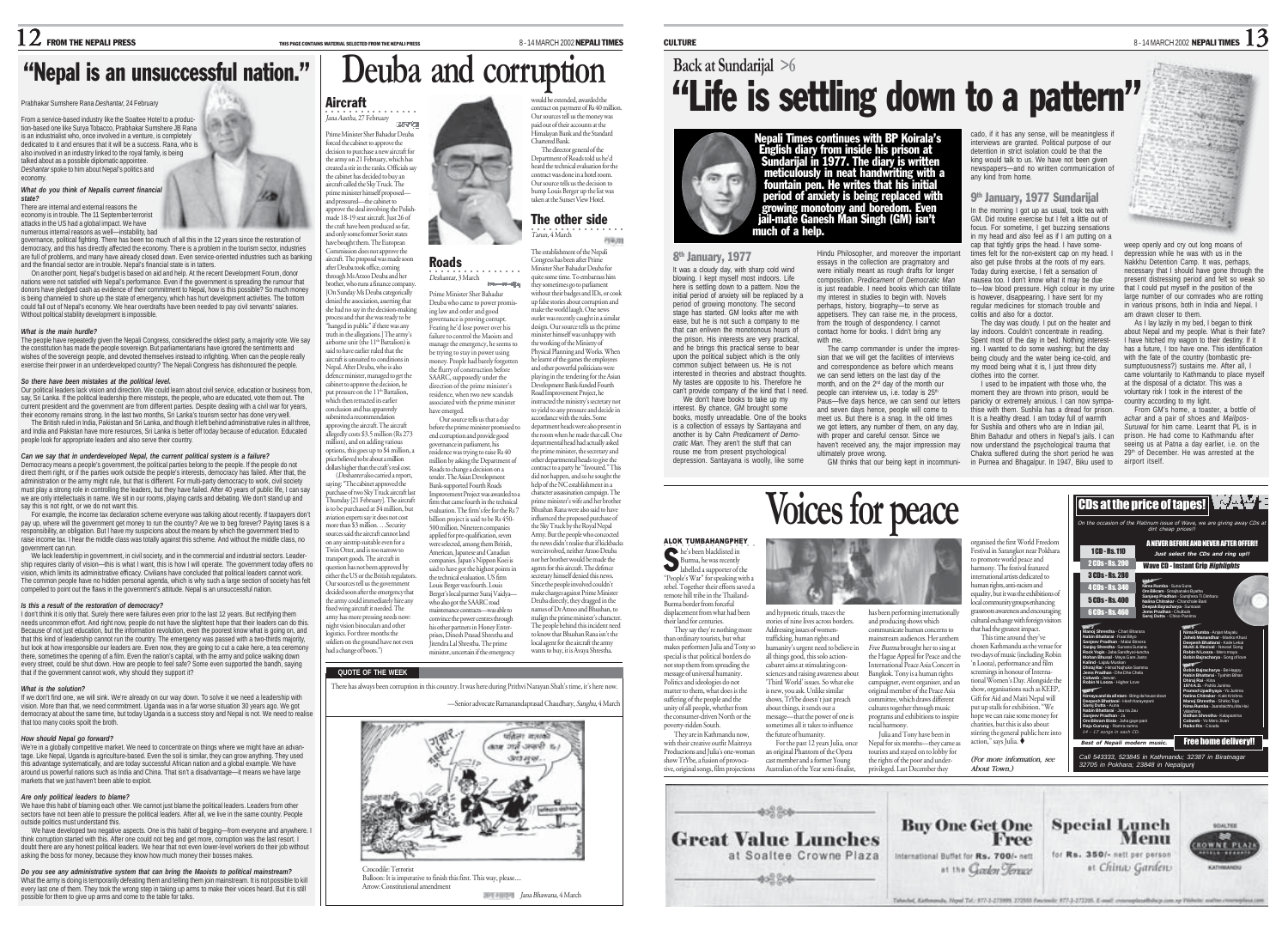Prabhakar Sumshere Rana *Deshantar,* 24 February From a service-based industry like the Soaltee Hotel to a production-based one like Surya Tobacco, Prabhakar Sumshere JB Rana is an industrialist who, once involved in a venture, is completely dedicated to it and ensures that it will be a success. Rana, who is also involved in an industry linked to the royal family, is being talked about as a possible diplomatic appointee. *Deshantar* spoke to him about Nepal's politics and

*What do you think of Nepalís current financial*

Without political stability development is impossible. *What is the main hurdle?*

*So there have been mistakes at the political level.*

people look for appropriate leaders and also serve their country.

say this is not right, or we do not want this.

*Is this a result of the restoration of democracy?*

that if the government cannot work, why should they support it?

government can run.

*What is the solution?*

that too many cooks spoilt the broth. *How should Nepal go forward?*

outside politics must understand this.

markets that we just haven't been able to exploit. *Are only political leaders to blame?*

possible for them to give up arms and come to the table for talks.

and the financial sector are in trouble. Nepal's financial state is in tatters.

governance, political fighting. There has been too much of all this in the 12 years since the restoration of democracy, and this has directly affected the economy. There is a problem in the tourism sector, industries are full of problems, and many have already closed down. Even service-oriented industries such as banking

"Nepal is an unsuccessful nation."

On another point, Nepal's budget is based on aid and help. At the recent Development Forum, donor nations were not satisfied with Nepal's performance. Even if the government is spreading the rumour that donors have pledged cash as evidence of their commitment to Nepal, how is this possible? So much money is being channeled to shore up the state of emergency, which has hurt development activities. The bottom could fall out of Nepal's economy. We hear overdrafts have been needed to pay civil servants' salaries.

The people have repeatedly given the Nepali Congress, considered the oldest party, a majority vote. We say the constitution has made the people sovereign. But parliamentarians have ignored the sentiments and wishes of the sovereign people, and devoted themselves instead to infighting. When can the people really exercise their power in an underdeveloped country? The Nepali Congress has dishonoured the people.

Our political leaders lack vision and direction. We could learn about civil service, education or business from, say, Sri Lanka. If the political leadership there missteps, the people, who are educated, vote them out. The current president and the government are from different parties. Despite dealing with a civil war for years, their economy remains strong. In the last two months, Sri Lanka's tourism sector has done very well. The British ruled in India, Pakistan and Sri Lanka, and though it left behind administrative rules in all three, and India and Pakistan have more resources, Sri Lanka is better off today because of education. Educated

For example, the income tax declaration scheme everyone was talking about recently. If taxpayers don't pay up, where will the government get money to run the country? Are we to beg forever? Paying taxes is a responsibility, an obligation. But I have my suspicions about the means by which the government tried to raise income tax. I hear the middle class was totally against this scheme. And without the middle class, no

We lack leadership in government, in civil society, and in the commercial and industrial sectors. Leadership requires clarity of vision—this is what I want, this is how I will operate. The government today offers no vision, which limits its administrative efficacy. Civilians have concluded that political leaders cannot work. The common people have no hidden personal agenda, which is why such a large section of society has felt compelled to point out the flaws in the government's attitude. Nepal is an unsuccessful nation.

I don't think it is only that. Surely there were failures even prior to the last 12 years. But rectifying them needs uncommon effort. And right now, people do not have the slightest hope that their leaders can do this. Because of not just education, but the information revolution, even the poorest know what is going on, and that this kind of leadership cannot run the country. The emergency was passed with a two-thirds majority, but look at how irresponsible our leaders are. Even now, they are going to cut a cake here, a tea ceremony there, sometimes the opening of a film. Even the nation's capital, with the army and police walking down every street, could be shut down. How are people to feel safe? Some even supported the bandh, saying

If we don't find one, we will sink. We're already on our way down. To solve it we need a leadership with vision. More than that, we need commitment. Uganda was in a far worse situation 30 years ago. We got democracy at about the same time, but today Uganda is a success story and Nepal is not. We need to realise

We're in a globally competitive market. We need to concentrate on things where we might have an advantage. Like Nepal, Uganda is agriculture-based. Even the soil is similar, they can grow anything. They used this advantage systematically, and are today successful African nation and a global example. We have around us powerful nations such as India and China. That isn't a disadvantage—it means we have large

We have this habit of blaming each other. We cannot just blame the political leaders. Leaders from other sectors have not been able to pressure the political leaders. After all, we live in the same country. People

We have developed two negative aspects. One is this habit of begging—from everyone and anywhere. I think corruption started with this. After one could not beg and get more, corruption was the last resort. I doubt there are any honest political leaders. We hear that not even lower-level workers do their job without asking the boss for money, because they know how much money their bosses makes. *Do you see any administrative system that can bring the Maoists to political mainstream?* What the army is doing is temporarily defeating them and telling them join mainstream. It is not possible to kill every last one of them. They took the wrong step in taking up arms to make their voices heard. But it is still

*Can we say that in underdeveloped Nepal, the current political system is a failure?* Democracy means a people's government, the political parties belong to the people. If the people do not direct them right, or if the parties work outside the people's interests, democracy has failed. After that, the administration or the army might rule, but that is different. For multi-party democracy to work, civil society must play a strong role in controlling the leaders, but they have failed. After 40 years of public life, I can say we are only intellectuals in name. We sit in our rooms, playing cards and debating. We don't stand up and

There are internal and external reasons the economy is in trouble. The 11 September terrorist attacks in the US had a global impact. We have numerous internal reasons as well—instability, bad

economy.

*state?*

would be extended, awarded the contract on payment of Rs 40 million Our sources tell us the money was paid out of their accounts at the Himalayan Bank and the Standard

The establishment of the Nepali Congress has been after Prime

行业用

## **Back at Sundarijal >6** "Life is settling down to a pattern"

Paus—five days hence, we can send our letters and seven days hence, people will come to meet us. But there is a snag. In the old times we got letters, any number of them, on any day, with proper and careful censor. Since we haven't received any, the major impression may

> has been performing internationally and producing shows which communicate human concerns to mainstream audiences. Her anthem Free Burma brought her to sing at the Hague Appeal for Peace and the International Peace Asia Concert in Bangkok. Tony is a human rights campaigner, event organiser, and an original member of the Peace Asia nmittee, which draws different cultures together through music programs and exhibitions to inspire racial harmony. Julia and Tony have been in Nepal for six months—they came as tourists and stayed on to lobby for

ultimately prove wrong.

and hypnotic rituals, traces the stories of nine lives across borders. Addressing issues of womentrafficking, human rights and humanity's urgent need to believe in all things good, this solo actioncabaret aims at stimulating consciences and raising awareness about 'Third World' issues. So what else is new, you ask. Unlike similar shows, TrYbe doesn't just preach about things, it sends out a message—that the power of one is sometimes all it takes to influence the future of humanity. For the past 12 years Julia, once an original Phantom of the Opera

**Voices for peace**



Nepali Times continues with BP Koirala's<br>English diary from inside his prison at<br>Sundarijal in 1977. The diary is written<br>meticulously in neat handwriting with a<br>fountain pen. He writes that his initial<br>period of anxiety i much of a help.

8th January, 1977

It was a cloudy day, with sharp cold wind blowing. I kept myself most indoors. Life here is settling down to a pattern. Now the initial period of anxiety will be replaced by a period of growing monotony. The second stage has started. GM looks after me with ease, but he is not such a company to me that can enliven the monotonous hours of the prison. His interests are very practical, and he brings this practical sense to bear upon the political subject which is the only common subject between us. He is not interested in theories and abstract thoughts. My tastes are opposite to his. Therefore he can't provide company of the kind that I need. essays in the collection are pragmatory and were initially meant as rough drafts for longer composition. *Predicament of Democratic Man* is just readable. I need books which can titillate my interest in studies to begin with. Novels perhaps, history, biography—to serve as appetisers. They can raise me, in the process, from the trough of despondency. I cannot contact home for books. I didn't bring any with me. The camp commander is under the impression that we will get the facilities of interviews and correspondence as before which means we can send letters on the last day of the month, and on the 2<sup>nd</sup> day of the month our people can interview us, i.e. today is 25<sup>th</sup>

We don't have books to take up my interest. By chance, GM brought some books, mostly unreadable. One of the books is a collection of essays by Santayana and another is by Cahn *Predicament of Democratic Man*. They aren't the stuff that can rouse me from present psychological depression. Santayana is woolly, like some

ALOK TUMBAHANGPHEY She's been blacklisted in<br>Burma, he was recently<br>labelled a supporter of the "People's War" for speaking with a rebel. Together their efforts saved a remote hill tribe in the Thailand-Burma border from forceful displacement from what had been their land for centuries. They say they're nothing more than ordinary tourists, but what makes performers Julia and Tony so special is that political borders do not stop them from spreading the message of universal humanity. Politics and ideologies do not matter to them, what does is the suffering of the people and the unity of all people, whether from the consumer-driven North or the poverty-ridden South. They are in Kathmandu now, with their creative outfit Maitreya Productions and Julia's one-woman show TrYbe, a fusion of provocative, original songs, film projections

cado, if it has any sense, will be meaningless if<br>interviews are granted. Political purpose of our detention in strict isolation could be that the king would talk to us. We have not been given newspapers—and no written communication of any kind from home.

## 9th January, 1977 Sundarijal

Hindu Philosopher, and moreover the important In the morning I got up as usual, took tea with GM. Did routine exercise but I felt a little out of focus. For sometime, I get buzzing sensations in my head and also feel as if I am putting on a cap that tightly grips the head. I have sometimes felt for the non-existent cap on my head. I also get pulse throbs at the roots of my ears. Today during exercise, I felt a sensation of nausea too. I don't know what it may be due to—low blood pressure. High colour in my urine is however, disappearing. I have sent for regular medicines for stomach trouble and colitis and also for a doctor.

The day was cloudy. I put on the heater and lay indoors. Couldn't concentrate in reading. Spent most of the day in bed. Nothing interest ing. I wanted to do some washing; but the day being cloudy and the water being ice-cold, and my mood being what it is. I just threw dirty clothes into the corner. I used to be impat

GM thinks that our being kept in incommuni-in Purnea and Bhagalpur. In 1947, Biku used to moment they are throw panicky or extremely thise with them. Sush It is a healthy dread. for Sushila and other Bhim Bahadur and of now understand Chakra suffered

weep openly and cry out long moans of depression while he was with us in the Nakkhu Detention Camp. It was, perhaps, necessary that I should have gone through the present distressing period and felt so weak so that I could put myself in the position of the large number of our comrades who are rotting in various prisons, both in India and Nepal. I am drawn closer to them.

As I lay lazily in my bed, I began to think about Nepal and my people. What is their fate? I have hitched my wagon to their destiny. If it has a future. I too have one. This identification with the fate of the country (bombastic presumptuousness?) sustains me. After all, I came voluntarily to Kathmandu to place myself<br>at the disnosal of a dictator. This was a at the disposal of a dictator. This was a

country according to my light. hottle of *achar* and a pair of shoes and *Mailpos-Suruwal* for him came. Learnt that PL is in

voluntary risk I took in the interest of the du after on the at the airport itself.

| ient with those who, the     | at the disposal of a dictator. This v       |
|------------------------------|---------------------------------------------|
| wn into prison, would be     | voluntary risk I took in the interest       |
| anxious. I can now sympa-    | country according to my light.              |
| ila has a dread for prison.  | From GM's home, a toaster, a                |
| am today full of warmth      | achar and a pair of shoes and M             |
| s who are in Indian iail.    | Suruwal for him came. Learnt tha            |
| hers in Nepal's iails. I can | prison. He had come to Kathmar              |
| osychological trauma that    | seeing us at Patna a day earlier,           |
| g the short period he was    | 29 <sup>th</sup> of December. He was arrest |
| pur. In 1947. Biku used to   | airport itself.                             |
|                              |                                             |

| the psychological trauma that<br>during the short period he was<br>agalpur. In 1947, Biku used to |                        | seeing us at Patna a day earlier, i.e. on the<br>29th of December. He was arrested at the<br>airport itself.                         |
|---------------------------------------------------------------------------------------------------|------------------------|--------------------------------------------------------------------------------------------------------------------------------------|
|                                                                                                   |                        | <b>CDs at the price of tapes!</b><br>On the occasion of the Platinum issue of Wave, we are giving away CDs at<br>dirt cheap prices!! |
| Zorld Freedom                                                                                     |                        | A NEVER BEFORE AND NEVER AFTER OFFER !!                                                                                              |
| e near Pokhara<br>eace and                                                                        | 1CD-Rs.110             | Just select the CDs and ring up!!                                                                                                    |
| al featured                                                                                       | 2 CDs - Rs. 200        | <b>Wave CD - Instant Grip Highlights</b>                                                                                             |
| edicated to                                                                                       | 3 CDs - Rs. 280        |                                                                                                                                      |
| cism and                                                                                          | 4 CDs - Rs. 340        | Nima Rumba - Suna Suna<br>Om Bilgram - Smalhanako Byatha                                                                             |
| e exhibitions of<br>1ps enhancing                                                                 | <b>5 CDs - Rs. 400</b> | Saniego Pradhan - Samihera Ti Dinharu<br>Nalina Chitrakar - Chanchale Bani                                                           |
| and encouraging                                                                                   | <b>GCDs-Rs 460</b>     | Deepak Bajracharya - Sursaan<br>Jems Pradhan - Chribrie                                                                              |



stirring the general public here into action," says Julia. *Call 543333, 523845 in Kathmandu; 32387 in Biratnagar*

*(For more information, see* cast member and a former Young the rights of the poor and under-*32705 in Pokhara; 23848 in Nepalgunj* Australian of the Year semi-finalist, privileged. Last December they *About Town.)* 452.500 **Buy One Get One** Special Lunch **ADALTER Great Value Lunches** Free Menu **ROWNE PLAZ** at Soaltee Crowne Plaza International Buffet for Rs. 700/- nett for Rs. 350/- nett per person at the Garlen Tenux at China Garden  $-402.204 -$ 

Takedad, Kalkesanda, Noyal Tal : 977-3-273999, 272555 Payment: 977-3-272205. E-mail: conceptualbibicat.com.op Thirtelle analyse.com

used the first V Festival in Sammako to promote world p harmony. The festiv mational artists d human rights, anti-ra equality, but it was the local community gro grassmots awarene cultural exchange with foreign visitors that had the greatest impact. This time around they've chosen Kathmandu as the venue for two days of music (including Robin 'n Looza), performance and film screenings in honour of International Women's Day. Alongside th show, organisations such as KEEP, Gift for Aid and Maiti Nepal will put up stalls for exhibition. "We hope we can raise some money for charities, but this is also about

## ○○○○○○○○○○○ ○○○○○ Jana Aastha, 27 February Prime Minister Sher Bahadur Deuba

forced the cabinet to approve the decision to purchase a new aircraft for the army on 21 February, which has created a stir in the ranks. Officials say the cabinet has decided to buy an aircraft called the Sky Truck. The prime minister himself proposed and pressured—the cabinet to

**Aircraft** 

approve the deal involving the Polishmade 18-19 seat aircraft. Just 26 of the craft have been produced so far, and only some former Soviet states have bought them. The European .<br>ion does not approve the

aircraft. The proposal was made soon after Deuba took office, coming

cavia

through Ms Arzoo Deuba and her brother, who runs a finance company. [On Sunday Ms Deuba categorically denied the association, asserting that she had no say in the decision-making process and that she was ready to be ecess and une site was ready to be<br>tanged in public" if there was any truth in the allegations.] The army's airborne unit (the 11<sup>th</sup> Battalion) is said to have earlier ruled that the aircraft is unsuited to conditions in Nepal. After Deuba, who is also defence minister, managed to get the cabinet to approve the decision, he put pressure on the 11<sup>th</sup> Battalion, ut pressure can as .<br>hich then retracted its earlier conclusion and has apparently<br>submitted a recommendation

submitted a recommendation approving the aircraft. The aircraft edly costs \$3.5 million (Rs 273 million), and on adding various options, this goes up to \$4 million, a ice believed to be about a million

(Deshanter also carried a report, ying: "The cabinet approved the purchase of two Sky Truck aircraft last Thursday [21 February]. The aircraft is to be purchased at \$4 million, but aviation experts say it does not cost more than \$3 million. Security sources said the aircraft cannot land on any airstrip suitable even for a Twin Otter, and is too narrow to transport goods. The aircraft in question has not been approved by either the US or the British regulators. Our sources tell us the government decided soon after the emergency that the army could immediately hire any fixed wing aircraft it needed. The army has more pressing needs now:

Chartered Bank. The director general of the Department of Roads told us he'd heard the technical evaluation for the contract was done in a hotel room. Our source tells us the decision to bump Louis Berger up the list was taken at the Sunset View Hotel. ○○○○○○○○○○○○○○○○ Tarun, 4 March The other side

**Deuba and corruption**

Roads

Prime Minister Sher Bahadur ing law and order and good Fearing he'd lose power over his failure to control the Maoists and have emerged.

dollars higher than the craft's real cost.

his other partners in Honey Enter-prises, Dinesh Prasad Shrestha and



direction of the prime minister's residence, when two new scandals

the technical evaluation. US firm Louis Berger was fourth. Louis Berger's local partner Suraj Vaidya who also got the SAARC road maintenance contracts—was able to convince the power centres through

night vision binoculars and other logistics. For three months the soldiers on the ground have not even had a change of boots.")

## **QUOTE OF THE WEEK**

There has always been corruption in this country. It was here during Prithvi Narayan Shah's time, it's here now.

Jitendra Lal Shrestha. The prime minister, uncertain if the emergency

—Senior advocate Ramanandaprasad Chaudhary, Sanghu, 4 March

Since the people involved couldn't make charges against Prime Minister Deuba directly, they dragged in the names of Dr Arzoo and Bhushan, to malign the prime minister's character. The people behind this incident need to know that Bhushan Rana isn't the local agent for the aircraft the army wants to buy, it is Avaya Shrestha.



## **Jana Bhawana, 4 March**

Minister Sher Bahadur Deuba for quite some time. To embarrass him •<br>*Deshantar*, 3 March **Immedia** they sometimes go to parliament without their badges and IDs, or cook Deuba who came to power promisup false stories about corruption and make the world laugh. One news outlet was recently caught in a similar ernance is proving corrupt. design. Our source tells us the prim minister himself was unhappy with

manage the emergency, he seems to be trying to stay in power using money. People had barely forgotten the flurry of construction before SAARC, supposedly under the the working of the Ministry of Physical Planning and Works. When he learnt of the games the employees and other powerful politician playing in the tendering for the Asian Development Bank-funded Fourth Road Improvement Project, he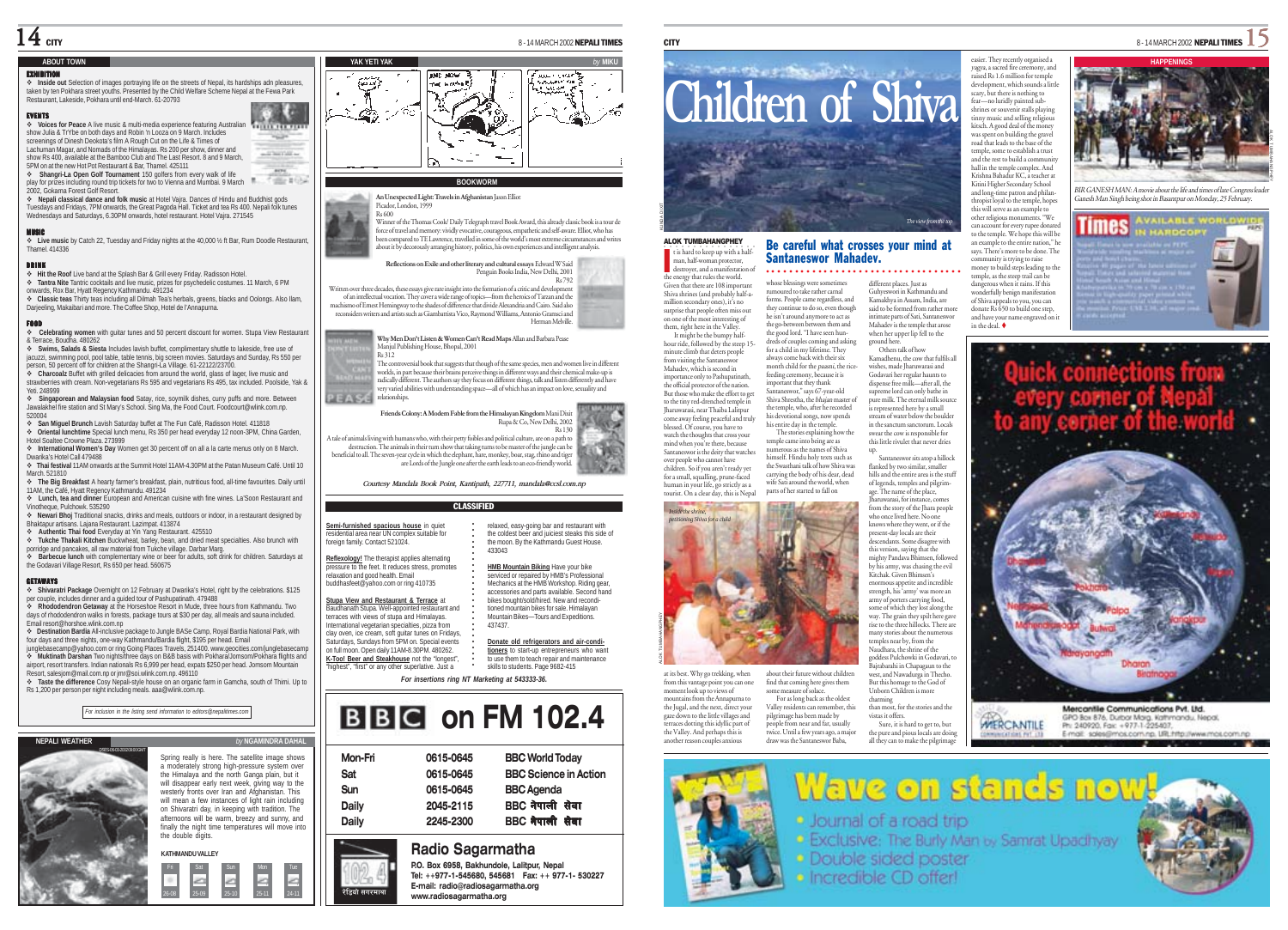## **ABOUT TOWN**

## $\Diamond$  Inside out Selection of images portraying life on the streets of Nepal, its hardships adn pleasure taken by ten Pokhara street youths. Presented by the Child Welfare Scheme Nepal at the Fewa Park Restaurant, Lakeside, Pokhara until end-March. 61-20793

EVENTS **Voices for Peace** A live music & multi-media experience featuring Australian **TELLIE FER FIX** show Julia & TrYbe on both days and Robin 'n Looza on 9 March. Includes screenings of Dinesh Deokota's film A Rough Cut on the Life & Times of Lachuman Magar, and Nomads of the Himalayas. Rs 200 per show, dinner and show Rs 400, available at the Bamboo Club and The Last Resort. 8 and 9 March, - STAGINAR -5PM on at the new Hot Pot Restaurant & Bar, Thamel. 425111

 **Shangri-La Open Golf Tournament** 150 golfers from every walk of life play for prizes including round trip tickets for two to Vienna and Mumbai. 9 March  $\mathbf{r}$ office Mink 2002, Gokarna Forest Golf Resort.

انتباد

 **Nepali classical dance and folk music** at Hotel Vajra. Dances of Hindu and Buddhist gods Tuesdays and Fridays, 7PM onwards, the Great Pagoda Hall. Ticket and tea Rs 400. Nepali folk tunes Wednesdays and Saturdays, 6.30PM onwards, hotel restaurant. Hotel Vaira. 271545

### MUSIC

 **Live music** by Catch 22, Tuesday and Friday nights at the 40,000 ½ ft Bar, Rum Doodle Restaurant, Thamel. 414336

**DRINK**<br>❖ Hit the Roof Live band at the Splash Bar & Grill every Friday. Radisson Hotel. **Tantra Nite** Tantric cocktails and live music, prizes for psychedelic costumes. 11 March, 6 PM

onwards, Rox Bar, Hyatt Regency Kathmandu. 491234 **Classic teas** Thirty teas including all Dilmah Tea's herbals, greens, blacks and Oolongs. Also Ilam, Darjeeling, Makaibari and more. The Coffee Shop, Hotel de l'Annapurna.

FOOD **Celebrating women** with guitar tunes and 50 percent discount for women. Stupa View Restaurant & Terrace, Boudha. 480262

 **Swims, Salads & Siesta** Includes lavish buffet, complimentary shuttle to lakeside, free use of jacuzzi, swimming pool, pool table, table tennis, big screen movies. Saturdays and Sunday, Rs 550 per person, 50 percent off for children at the Shangri-La Village. 61-22122/23700.

 **Charcoalz** Buffet with grilled delicacies from around the world, glass of lager, live music and strawberries with cream. Non-vegetarians Rs 595 and vegetarians Rs 495, tax included. Poolside, Yak & Yeti. 248999

**Singaporean and Malaysian food** Satay, rice, soymilk dishes, curry puffs and more. Between Jawalakhel fire station and St Mary's School. Sing Ma, the Food Court. Foodcourt@wlink.com.np.

520004 **San Miguel Brunch** Lavish Saturday buffet at The Fun Café, Radisson Hotel. 411818 **Oriental lunchtime** Special lunch menu, Rs 350 per head everyday 12 noon-3PM, China Garden,

Hotel Soaltee Crowne Plaza. 273999 **International Women's Day** Women get 30 percent off on all a la carte menus only on 8 March.

Dwarika's Hotel Call 479488 **Thai festival** 11AM onwards at the Summit Hotel 11AM-4.30PM at the Patan Museum Café. Until 10 March. 521810

 **The Big Breakfast** A hearty farmer's breakfast, plain, nutritious food, all-time favourites. Daily until 11AM, the Café, Hyatt Regency Kathmandu. 491234

 **Lunch, tea and dinner** European and American cuisine with fine wines. La'Soon Restaurant and Vinotheque, Pulchowk. 535290

 **Newari Bhoj** Traditional snacks, drinks and meals, outdoors or indoor, in a restaurant designed by Bhaktapur artisans. Lajana Restaurant. Lazimpat. 413874

**Authentic Thai food** Everyday at Yin Yang Restaurant. 425510

 **Tukche Thakali Kitchen** Buckwheat, barley, bean, and dried meat specialties. Also brunch with porridge and pancakes, all raw material from Tukche village. Darbar Marg. **Barbecue lunch** with complementary wine or beer for adults, soft drink for children. Saturdays at

the Godavari Village Resort, Rs 650 per head. 560675

### **GETAWAYS**

**Shivaratri Package Overnight on 12 February at Dwarika's Hotel, right by the celebrations. \$125** per couple, includes dinner and a guided tour of Pashupatinath. 479488

 **Rhododendron Getaway** at the Horseshoe Resort in Mude, three hours from Kathmandu. Two days of rhododendron walks in forests, package tours at \$30 per day, all meals and sauna included. Email resort@horshoe.wlink.com.np

 **Destination Bardia** All-inclusive package to Jungle BASe Camp, Royal Bardia National Park, with four days and three nights, one-way Kathmandu/Bardia flight, \$195 per head. Email junglebasecamp@yahoo.com or ring Going Places Travels, 251400. www.geocities.com/junglebasecamp

 **Muktinath Darshan** Two nights/three days on B&B basis with Pokhara/Jomsom/Pokhara flights and airport, resort transfers. Indian nationals Rs 6,999 per head, expats \$250 per head. Jomsom Mountain

Resort, salesjom@mail.com.np or jmr@soi.wlink.com.np. 496110 **Taste the difference** Cosy Nepali-style house on an organic farm in Gamcha, south of Thimi. Up to

Rs 1,200 per person per night including meals. aaa@wlink.com.np.

*For inclusion in the listing send information to editors@nepalitimes.com*





Spring really is here. The satellite image shows a moderately strong high-pressure system over the Himalaya and the north Ganga plain, but it will disappear early next week, giving way to the westerly fronts over Iran and Afghanistan. This will mean a few instances of light rain including on Shivaratri day, in keeping with tradition. The afternoons will be warm, breezy and sunny, and finally the night time temperatures will move into the double digits.

Fri Sat Sun Mon Tue 26-08 25-09 25-10 25-11 24-11 रेडियो सगरमाथा --

## **YAK YETI YAK** *by* **MIKU IND NOW** THE WORTH

### **BOOKWORM**

**An Unexpected Light: Travels in Afghanistan** Jason Elliot Picador, London, 1999 Rs 600 Winner of the Thomas Cook/ Daily Telegraph travel Book Award, this already classic book is a tour de force of travel and memory: vividly evocative, courageous, empathetic and self-aware. Elliot, who has been compared to TE Lawrence, travelled in some of the world's most extreme circumstances and writes about it by decorously arranging history, politics, his own experiences and intelligent analysis.

**Reflections on Exile and other literary and cultural essays** Edward W Said Penguin Books India, New Delhi, 2001 Rs 792

Written over three decades, these essays give rare insight into the formation of a critic and development<br>of an intellectual vocation. They cover a wide range of topics—from the heroics of Tarzan and the<br>machismo of Ernest reconsiders writers and artists such as Giambattista Vico, Raymond Williams, Antonio Gramsci and Herman Melville.

**Why Men Don't Listen & Women Can't Read Maps** Allan and Barbara Pease anjul Publishing House, Bhopal, 2001

 $R_2$  312 The controversial book that suggests that though of the same species, men and women live in different worlds, in part because their brains perceive things in different ways and their chemical make-up is radically different. The authors say they focus on different things, talk and listen differently and have very varied abilities with understanding space—all of which has an impact on love, sexuality and PEASE relationships.

### **Friends Colony: A Modern Fable from the Himalayan Kingdom** Mani Dixit Rupa & Co, New Delhi, 2002

Rs 130 A tale of animals living with humans who, with their petty foibles and political culture, are on a path to destruction. The animals in their turn show that taking turns to be master of the jungle can be beneficial to all. The seven-year cycle in which the elephant, hare, monkey, boar, stag, rhino and tiger are Lords of the Jungle one after the earth leads to an eco-friendly world.

*Courtesy Mandala Book Point, Kantipath, 227711, mandala@ccsl.com.np*

## CLASSIFIED

**Semi-furnished spacious house** in quiet residential area near UN complex suitable for foreign family. Contact 521024.

**Reflexology!** The therapist applies alternating pressure to the feet. It reduces stress, promotes relaxation and good health. Email buddhasfeet@yahoo.com or ring 410735

**Stupa View and Restaurant & Terrace** at Baudhanath Stupa. Well-appointed restaurant and terraces with views of stupa and Himalayas. International vegetarian specialties, pizza from

clay oven, ice cream, soft guitar tunes on Fridays, Saturdays, Sundays from 5PM on. Special events on full moon. Open daily 11AM-8.30PM. 480262.

**K-Too! Beer and Steakhouse** not the "longest", "highest", "first" or any other superlative. Just a



| Mon-Fri | 0615-0645 | <b>BBC World Today</b>       |
|---------|-----------|------------------------------|
| Sat     | 0615-0645 | <b>BBC Science in Action</b> |
| Sun     | 0615-0645 | <b>BBC</b> Agenda            |
| Daily   | 2045-2115 | BBC नेपाली सेवा              |
| Daily   | 2245-2300 | BBC नेपाली सेवा              |
|         |           |                              |

## **Radio Sagarmatha**

**P.O. Box 6958, Bakhundole, Lalitpur, Nepal Tel: ++977-1-545680, 545681 Fax: ++ 977-1- 530227 E-mail: radio@radiosagarmatha.org www.radiosagarmatha.org**



## Be careful what crosses your mind at Santaneswor Mahadev. ○○○○ ○○○○○○○○○○○○○○○○○○○○○○○○○○○○○○

the energy that rules the world. Given that there are 108 important Shiva shrines (and probably half-amillion secondary ones), it's no surprise that people often miss out on one of the most interesting of them, right here in the Valley. It might be the bumpy halfhour ride, followed by the steep 15 minute climb that deters peopl from visiting the Santaneswor Mahadev, which is second in importance only to Pashupatinath, the official protector of the nation. But those who make the effort to get to the tiny red-drenched temple in whose blessings were sometimes rumoured to take rather carnal forms. People came regardless, and they continue to do so, even though he isn't around anymore to act as the go-between between them and the good lord. "I have seen hundreds of couples coming and asking for a child in my lifetime. They always come back with their six month child for the paasni, the ricefeeding ceremony, because it is important that they thank Santaneswor," says 67-year-old Shiva Shrestha, the bhajan master of the temple, who, after he recorded

ALOK TUMBAHANGPHEY  $\blacksquare$  t is hard to keep up with a halfman, half-woman protector, destroyer, and a manifestation of

I

Jharuwarasi, near Thaiba Lalitpur come away feeling peaceful and truly blessed. Of course, you have to watch the thoughts that cross your mind when you're there, because Santaneswor is the deity that watches over people who cannot have children. So if you aren't ready yet for a small, squalling, prune-faced human in your life, go strictly as a tourist. On a clear day, this is Nepal his devotional songs, now spends his entire day in the temple. The stories explaining how the temple came into being are as numerous as the names of Shiva himself. Hindu holy texts such as the Swasthani talk of how Shiva was carrying the body of his dear, dead wife Sati around the world, when parts of her started to fall on



at its best. Why go trekking, when from this vantage point you can one moment look up to views of mountains from the Annapurna to the Jugal, and the next, direct your gaze down to the little villages and terraces dotting this idyllic part of the Valley. And perhaps this is another reason couples anxious find that coming here gives them some measure of solace.

ALOK TUMBAHANGPHEY

For as long back as the oldest Valley residents can remember, this <sup>p</sup>ilgrimage has been made by people from near and far, usually twice. Until a few years ago, a major draw was the Santaneswor Baba,

vistas it offers.

west, and Nawadurga in Thecho. But this homage to the God of Unborn Children is more charming than most, for the stories and the

Sure, it is hard to get to, but the pure and pious locals are doing



all they can to make the pilgrimage

different places. Just as Guhyeswori in Kathmandu and Kamakhya in Assam, India, are said to be formed from rather more intimate parts of Sati, Santaneswor Mahadev is the temple that arose when her upper lip fell to the ground here. and have your name engraved on it in the deal.

Others talk of how Kamadhenu, the cow that fulfils all wishes, made Jharuwarasi and Godavari her regular haunts to dispense free milk—after all, the supreme lord can only bathe in pure milk. The eternal milk source is represented here by a small stream of water below the boulder in the sanctum sanctorum. Locals swear the cow is responsible for this little rivulet that never dries up.

Santaneswor sits atop a hillock flanked by two similar, smaller hills and the entire area is the stuff of legends, temples and pilgrim-age. The name of the place, Jharuwarasi, for instance, comes from the story of the Jhara people who once lived here. No one knows where they went, or if the present-day locals are their descendants. Some disagree with this version, saying that the mighty Pandava Bhimsen, followed by his army, was chasing the evil Kitchak. Given Bhimsen's enormous appetite and incredible strength, his 'army' was more an army of porters carrying food, some of which they lost along the way. The grain they spilt here gave rise to the three hillocks. There are many stories about the numerous temples near by, from the Naudhara, the shrine of the goddess Pulchowki in Godavari, to Bajrabarahi in Chapagaun to the

**WERCANTILE** 



Ganesh Man Singh being shot in Basantpur on Monday, 25 February.

**ALCOHOL: Times** 



ALOK TUMBAHANGPHEY



Mercantile Communications Pvt. Ltd. GPO Box 876, Durbar Marg, Kathmandu, Nepal, Ph: 240920, Fax: +977-1-225407 Email: sales@mos.com.np. URLhitp://www.mos.com.np ۰,



CITY  $8-14 \text{ MARCH } 2002$  NEPALI TIMES  $15$ 

inny music and selling religious kitsch. A good deal of the money was spent on building the grave<br>mad that leads to the hase of the was spent on bunding to<br>mad that leads to the ba temple, some to establish a trust and the rest to build a community hall in the temple complex. And Krishna Bahadur KC, a teacher at Kitini Higher Secondary School and long-time patron and philanthropist loyal to the temple, hopes this will serve as an example to other religious monuments. "We can account for every rupee donated to the temple. We hope this will be an example to the entire nation," he says. There's more to be done. The community is trying to raise money to build steps leading to the temple, as the steep trail can be dangerous when it rains. If this wonderfully benign manifestation of Shiva appeals to you, you can donate Rs 650 to build one step

easier. They recently organised a yagya, a sacred fire ceremony, and raised Rs 1.6 million for temple development, which sounds a little scary, but there is nothing to fear—no luridly painted subshrines or souvenir stalls playing



bikes bought/sold/hired. New and reconditioned mountain bikes for sale. Himalayan Mountain Bikes—Tours and Expeditions. 437437. **Donate old refrigerators and air-condi-**

**tioners** to start-up entrepreneurs who want to use them to teach repair and maintenance skills to students. Page 9682-415

*For insertions ring NT Marketing at 543333-36.*

| -Fri | 0615-0645 | <b>BBC World Today</b>    |
|------|-----------|---------------------------|
|      | 0615-0645 | <b>BBC Science in Act</b> |
|      | 0615-0645 | <b>BBC</b> Agenda         |
|      | 2045-2115 | BBC नेपाली सेवा           |
|      | 2245-2300 | BBC नेपाली सेवा           |